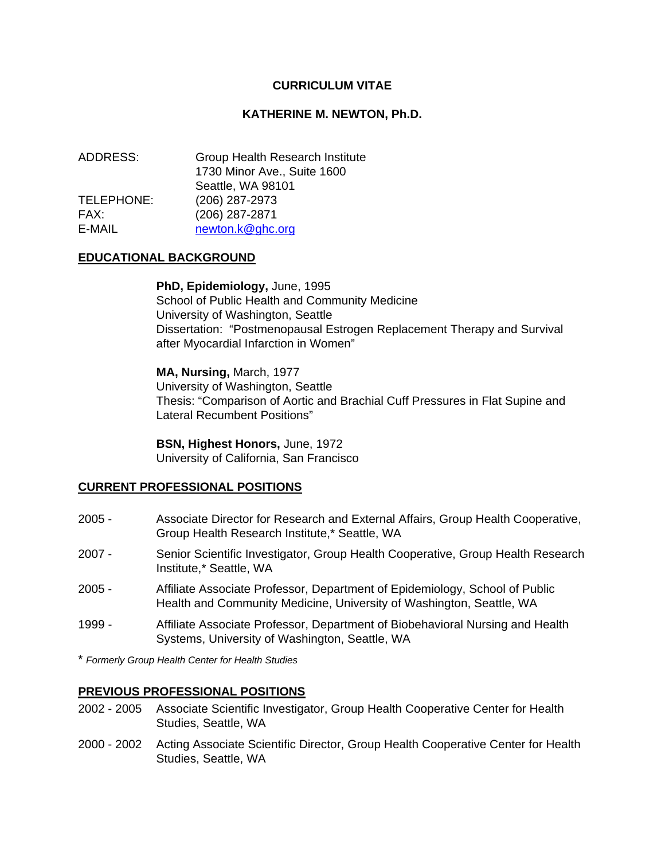## **CURRICULUM VITAE**

### **KATHERINE M. NEWTON, Ph.D.**

| ADDRESS:   | <b>Group Health Research Institute</b> |
|------------|----------------------------------------|
|            | 1730 Minor Ave., Suite 1600            |
|            | Seattle, WA 98101                      |
| TELEPHONE: | (206) 287-2973                         |
| FAX:       | (206) 287-2871                         |
| E-MAIL     | newton.k@ghc.org                       |

## **EDUCATIONAL BACKGROUND**

#### **PhD, Epidemiology,** June, 1995

 School of Public Health and Community Medicine University of Washington, Seattle Dissertation: "Postmenopausal Estrogen Replacement Therapy and Survival after Myocardial Infarction in Women"

**MA, Nursing,** March, 1977 University of Washington, Seattle

 Thesis: "Comparison of Aortic and Brachial Cuff Pressures in Flat Supine and Lateral Recumbent Positions"

**BSN, Highest Honors,** June, 1972 University of California, San Francisco

#### **CURRENT PROFESSIONAL POSITIONS**

- 2005 Associate Director for Research and External Affairs, Group Health Cooperative, Group Health Research Institute,\* Seattle, WA
- 2007 Senior Scientific Investigator, Group Health Cooperative, Group Health Research Institute,\* Seattle, WA
- 2005 Affiliate Associate Professor, Department of Epidemiology, School of Public Health and Community Medicine, University of Washington, Seattle, WA
- 1999 Affiliate Associate Professor, Department of Biobehavioral Nursing and Health Systems, University of Washington, Seattle, WA

\* *Formerly Group Health Center for Health Studies*

#### **PREVIOUS PROFESSIONAL POSITIONS**

- 2002 2005 Associate Scientific Investigator, Group Health Cooperative Center for Health Studies, Seattle, WA
- 2000 2002 Acting Associate Scientific Director, Group Health Cooperative Center for Health Studies, Seattle, WA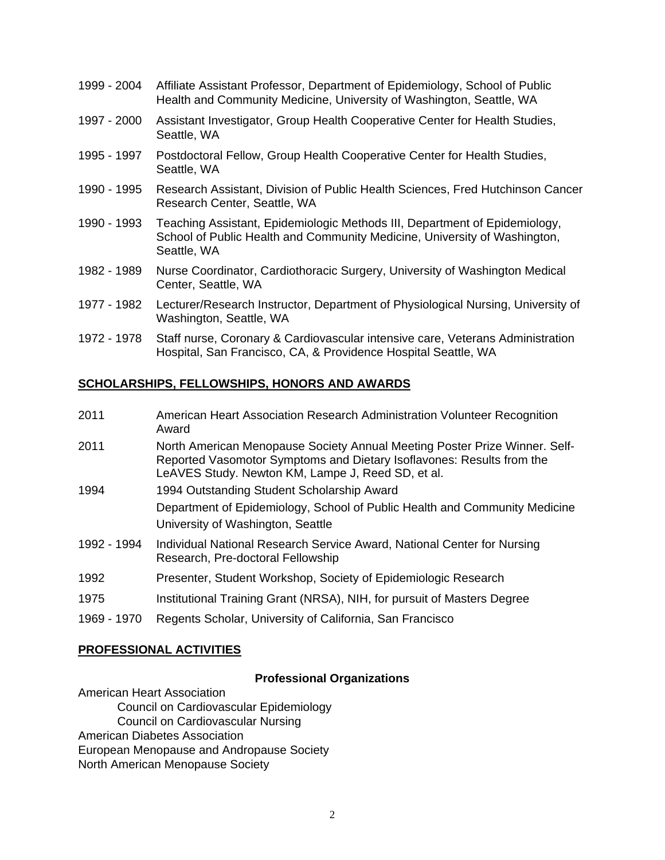- 1999 2004 Affiliate Assistant Professor, Department of Epidemiology, School of Public Health and Community Medicine, University of Washington, Seattle, WA
- 1997 2000 Assistant Investigator, Group Health Cooperative Center for Health Studies, Seattle, WA
- 1995 1997 Postdoctoral Fellow, Group Health Cooperative Center for Health Studies, Seattle, WA
- 1990 1995 Research Assistant, Division of Public Health Sciences, Fred Hutchinson Cancer Research Center, Seattle, WA
- 1990 1993 Teaching Assistant, Epidemiologic Methods III, Department of Epidemiology, School of Public Health and Community Medicine, University of Washington, Seattle, WA
- 1982 1989 Nurse Coordinator, Cardiothoracic Surgery, University of Washington Medical Center, Seattle, WA
- 1977 1982 Lecturer/Research Instructor, Department of Physiological Nursing, University of Washington, Seattle, WA
- 1972 1978 Staff nurse, Coronary & Cardiovascular intensive care, Veterans Administration Hospital, San Francisco, CA, & Providence Hospital Seattle, WA

## **SCHOLARSHIPS, FELLOWSHIPS, HONORS AND AWARDS**

2011 American Heart Association Research Administration Volunteer Recognition Award 2011 North American Menopause Society Annual Meeting Poster Prize Winner. Self-Reported Vasomotor Symptoms and Dietary Isoflavones: Results from the LeAVES Study. Newton KM, Lampe J, Reed SD, et al. 1994 1994 Outstanding Student Scholarship Award Department of Epidemiology, School of Public Health and Community Medicine University of Washington, Seattle 1992 - 1994 Individual National Research Service Award, National Center for Nursing Research, Pre-doctoral Fellowship 1992 Presenter, Student Workshop, Society of Epidemiologic Research 1975 Institutional Training Grant (NRSA), NIH, for pursuit of Masters Degree 1969 - 1970 Regents Scholar, University of California, San Francisco

# **PROFESSIONAL ACTIVITIES**

## **Professional Organizations**

American Heart Association Council on Cardiovascular Epidemiology Council on Cardiovascular Nursing American Diabetes Association European Menopause and Andropause Society North American Menopause Society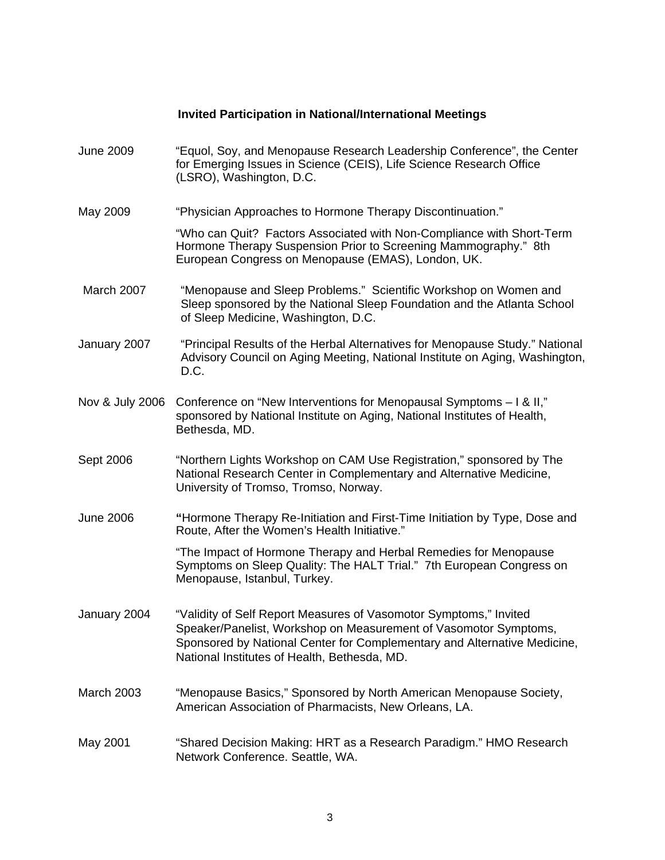# **Invited Participation in National/International Meetings**

- June 2009 "Equol, Soy, and Menopause Research Leadership Conference", the Center for Emerging Issues in Science (CEIS), Life Science Research Office (LSRO), Washington, D.C.
- May 2009 "Physician Approaches to Hormone Therapy Discontinuation."

 "Who can Quit? Factors Associated with Non-Compliance with Short-Term Hormone Therapy Suspension Prior to Screening Mammography." 8th European Congress on Menopause (EMAS), London, UK.

- March 2007 "Menopause and Sleep Problems." Scientific Workshop on Women and Sleep sponsored by the National Sleep Foundation and the Atlanta School of Sleep Medicine, Washington, D.C.
- January 2007 "Principal Results of the Herbal Alternatives for Menopause Study." National Advisory Council on Aging Meeting, National Institute on Aging, Washington, D.C.
- Nov & July 2006 Conference on "New Interventions for Menopausal Symptoms I & II," sponsored by National Institute on Aging, National Institutes of Health, Bethesda, MD.
- Sept 2006 "Northern Lights Workshop on CAM Use Registration," sponsored by The National Research Center in Complementary and Alternative Medicine, University of Tromso, Tromso, Norway.
- June 2006 **"**Hormone Therapy Re-Initiation and First-Time Initiation by Type, Dose and Route, After the Women's Health Initiative."

 "The Impact of Hormone Therapy and Herbal Remedies for Menopause Symptoms on Sleep Quality: The HALT Trial." 7th European Congress on Menopause, Istanbul, Turkey.

- January 2004 "Validity of Self Report Measures of Vasomotor Symptoms," Invited Speaker/Panelist, Workshop on Measurement of Vasomotor Symptoms, Sponsored by National Center for Complementary and Alternative Medicine, National Institutes of Health, Bethesda, MD.
- March 2003 "Menopause Basics," Sponsored by North American Menopause Society, American Association of Pharmacists, New Orleans, LA.
- May 2001 "Shared Decision Making: HRT as a Research Paradigm." HMO Research Network Conference. Seattle, WA.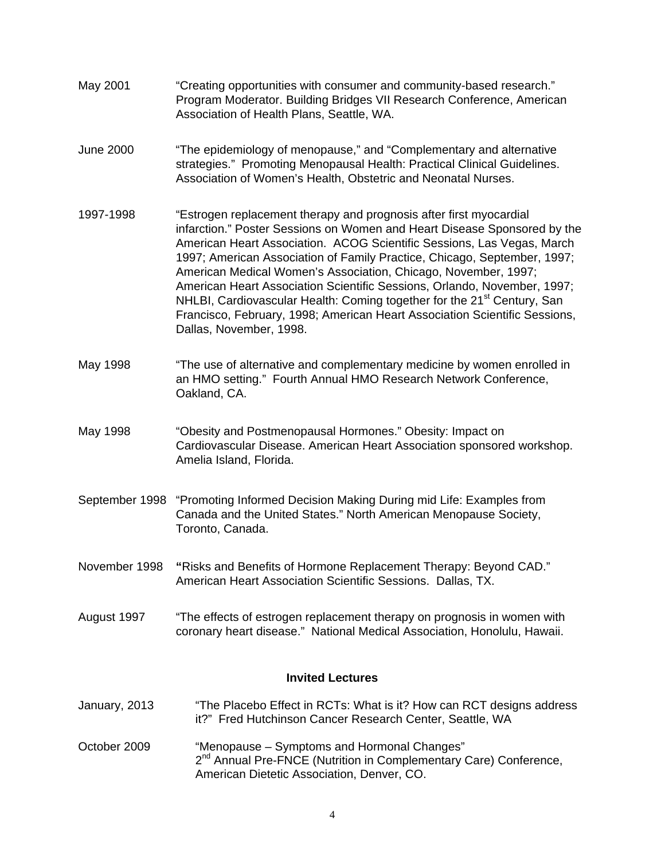- May 2001 "Creating opportunities with consumer and community-based research." Program Moderator. Building Bridges VII Research Conference, American Association of Health Plans, Seattle, WA.
- June 2000 "The epidemiology of menopause," and "Complementary and alternative strategies." Promoting Menopausal Health: Practical Clinical Guidelines. Association of Women's Health, Obstetric and Neonatal Nurses.
- 1997-1998 "Estrogen replacement therapy and prognosis after first myocardial infarction." Poster Sessions on Women and Heart Disease Sponsored by the American Heart Association. ACOG Scientific Sessions, Las Vegas, March 1997; American Association of Family Practice, Chicago, September, 1997; American Medical Women's Association, Chicago, November, 1997; American Heart Association Scientific Sessions, Orlando, November, 1997; NHLBI, Cardiovascular Health: Coming together for the 21<sup>st</sup> Century, San Francisco, February, 1998; American Heart Association Scientific Sessions, Dallas, November, 1998.
- May 1998 "The use of alternative and complementary medicine by women enrolled in an HMO setting." Fourth Annual HMO Research Network Conference, Oakland, CA.
- May 1998 "Obesity and Postmenopausal Hormones." Obesity: Impact on Cardiovascular Disease. American Heart Association sponsored workshop. Amelia Island, Florida.
- September 1998 "Promoting Informed Decision Making During mid Life: Examples from Canada and the United States." North American Menopause Society, Toronto, Canada.
- November 1998 **"**Risks and Benefits of Hormone Replacement Therapy: Beyond CAD." American Heart Association Scientific Sessions. Dallas, TX.
- August 1997 "The effects of estrogen replacement therapy on prognosis in women with coronary heart disease." National Medical Association, Honolulu, Hawaii.

#### **Invited Lectures**

- January, 2013 "The Placebo Effect in RCTs: What is it? How can RCT designs address it?" Fred Hutchinson Cancer Research Center, Seattle, WA
- October 2009 "Menopause Symptoms and Hormonal Changes" 2<sup>nd</sup> Annual Pre-FNCE (Nutrition in Complementary Care) Conference, American Dietetic Association, Denver, CO.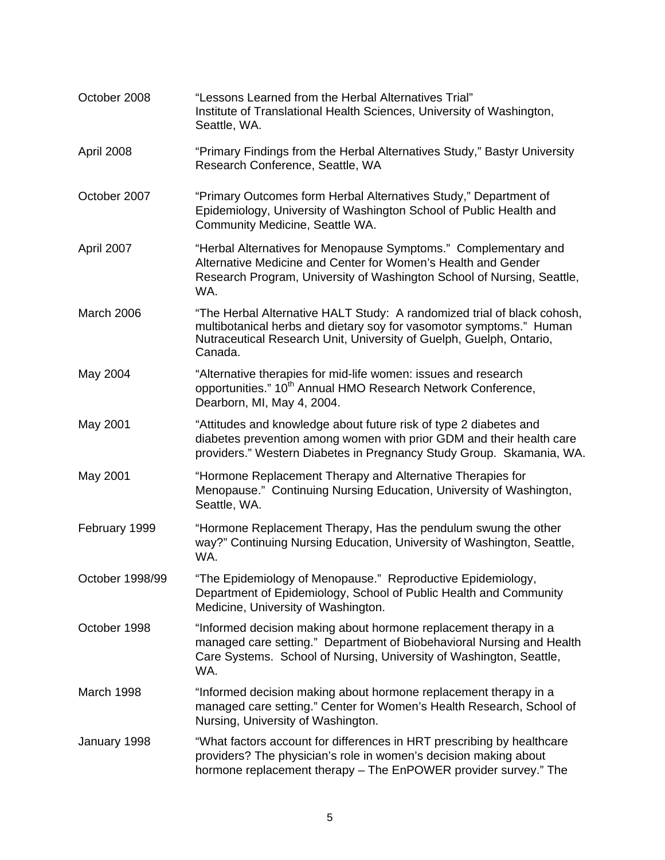| October 2008    | "Lessons Learned from the Herbal Alternatives Trial"<br>Institute of Translational Health Sciences, University of Washington,<br>Seattle, WA.                                                                                    |
|-----------------|----------------------------------------------------------------------------------------------------------------------------------------------------------------------------------------------------------------------------------|
| April 2008      | "Primary Findings from the Herbal Alternatives Study," Bastyr University<br>Research Conference, Seattle, WA                                                                                                                     |
| October 2007    | "Primary Outcomes form Herbal Alternatives Study," Department of<br>Epidemiology, University of Washington School of Public Health and<br>Community Medicine, Seattle WA.                                                        |
| April 2007      | "Herbal Alternatives for Menopause Symptoms." Complementary and<br>Alternative Medicine and Center for Women's Health and Gender<br>Research Program, University of Washington School of Nursing, Seattle,<br>WA.                |
| March 2006      | "The Herbal Alternative HALT Study: A randomized trial of black cohosh,<br>multibotanical herbs and dietary soy for vasomotor symptoms." Human<br>Nutraceutical Research Unit, University of Guelph, Guelph, Ontario,<br>Canada. |
| May 2004        | "Alternative therapies for mid-life women: issues and research<br>opportunities." 10 <sup>th</sup> Annual HMO Research Network Conference,<br>Dearborn, MI, May 4, 2004.                                                         |
| May 2001        | "Attitudes and knowledge about future risk of type 2 diabetes and<br>diabetes prevention among women with prior GDM and their health care<br>providers." Western Diabetes in Pregnancy Study Group. Skamania, WA.                |
| May 2001        | "Hormone Replacement Therapy and Alternative Therapies for<br>Menopause." Continuing Nursing Education, University of Washington,<br>Seattle, WA.                                                                                |
| February 1999   | "Hormone Replacement Therapy, Has the pendulum swung the other<br>way?" Continuing Nursing Education, University of Washington, Seattle,<br>WA.                                                                                  |
| October 1998/99 | "The Epidemiology of Menopause." Reproductive Epidemiology,<br>Department of Epidemiology, School of Public Health and Community<br>Medicine, University of Washington.                                                          |
| October 1998    | "Informed decision making about hormone replacement therapy in a<br>managed care setting." Department of Biobehavioral Nursing and Health<br>Care Systems. School of Nursing, University of Washington, Seattle,<br>WA.          |
| March 1998      | "Informed decision making about hormone replacement therapy in a<br>managed care setting." Center for Women's Health Research, School of<br>Nursing, University of Washington.                                                   |
| January 1998    | "What factors account for differences in HRT prescribing by healthcare<br>providers? The physician's role in women's decision making about<br>hormone replacement therapy - The EnPOWER provider survey." The                    |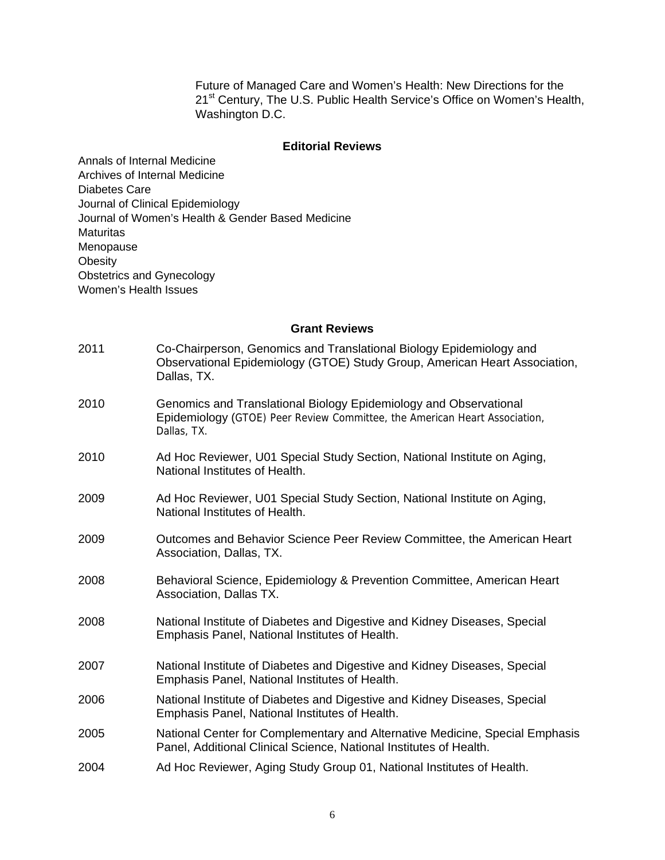Future of Managed Care and Women's Health: New Directions for the 21<sup>st</sup> Century, The U.S. Public Health Service's Office on Women's Health, Washington D.C.

# **Editorial Reviews**

Annals of Internal Medicine Archives of Internal Medicine Diabetes Care Journal of Clinical Epidemiology Journal of Women's Health & Gender Based Medicine **Maturitas** Menopause **Obesity** Obstetrics and Gynecology Women's Health Issues

#### **Grant Reviews**

| 2011 | Co-Chairperson, Genomics and Translational Biology Epidemiology and<br>Observational Epidemiology (GTOE) Study Group, American Heart Association,<br>Dallas, TX. |
|------|------------------------------------------------------------------------------------------------------------------------------------------------------------------|
| 2010 | Genomics and Translational Biology Epidemiology and Observational<br>Epidemiology (GTOE) Peer Review Committee, the American Heart Association,<br>Dallas, TX.   |
| 2010 | Ad Hoc Reviewer, U01 Special Study Section, National Institute on Aging,<br>National Institutes of Health.                                                       |
| 2009 | Ad Hoc Reviewer, U01 Special Study Section, National Institute on Aging,<br>National Institutes of Health.                                                       |
| 2009 | Outcomes and Behavior Science Peer Review Committee, the American Heart<br>Association, Dallas, TX.                                                              |
| 2008 | Behavioral Science, Epidemiology & Prevention Committee, American Heart<br>Association, Dallas TX.                                                               |
| 2008 | National Institute of Diabetes and Digestive and Kidney Diseases, Special<br>Emphasis Panel, National Institutes of Health.                                      |
| 2007 | National Institute of Diabetes and Digestive and Kidney Diseases, Special<br>Emphasis Panel, National Institutes of Health.                                      |
| 2006 | National Institute of Diabetes and Digestive and Kidney Diseases, Special<br>Emphasis Panel, National Institutes of Health.                                      |
| 2005 | National Center for Complementary and Alternative Medicine, Special Emphasis<br>Panel, Additional Clinical Science, National Institutes of Health.               |
| 2004 | Ad Hoc Reviewer, Aging Study Group 01, National Institutes of Health.                                                                                            |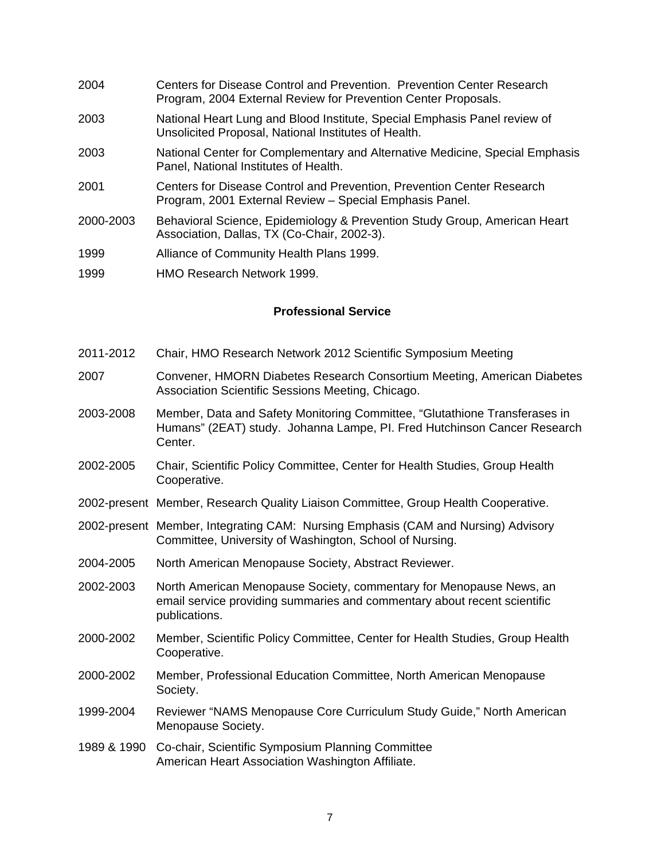| 2004      | Centers for Disease Control and Prevention. Prevention Center Research<br>Program, 2004 External Review for Prevention Center Proposals. |
|-----------|------------------------------------------------------------------------------------------------------------------------------------------|
| 2003      | National Heart Lung and Blood Institute, Special Emphasis Panel review of<br>Unsolicited Proposal, National Institutes of Health.        |
| 2003      | National Center for Complementary and Alternative Medicine, Special Emphasis<br>Panel, National Institutes of Health.                    |
| 2001      | Centers for Disease Control and Prevention, Prevention Center Research<br>Program, 2001 External Review - Special Emphasis Panel.        |
| 2000-2003 | Behavioral Science, Epidemiology & Prevention Study Group, American Heart<br>Association, Dallas, TX (Co-Chair, 2002-3).                 |
| 1999      | Alliance of Community Health Plans 1999.                                                                                                 |
| 1999      | HMO Research Network 1999.                                                                                                               |

#### **Professional Service**

- 2011-2012 Chair, HMO Research Network 2012 Scientific Symposium Meeting
- 2007 Convener, HMORN Diabetes Research Consortium Meeting, American Diabetes Association Scientific Sessions Meeting, Chicago.
- 2003-2008 Member, Data and Safety Monitoring Committee, "Glutathione Transferases in Humans" (2EAT) study. Johanna Lampe, PI. Fred Hutchinson Cancer Research Center.
- 2002-2005 Chair, Scientific Policy Committee, Center for Health Studies, Group Health Cooperative.
- 2002-present Member, Research Quality Liaison Committee, Group Health Cooperative.
- 2002-present Member, Integrating CAM: Nursing Emphasis (CAM and Nursing) Advisory Committee, University of Washington, School of Nursing.
- 2004-2005 North American Menopause Society, Abstract Reviewer.
- 2002-2003 North American Menopause Society, commentary for Menopause News, an email service providing summaries and commentary about recent scientific publications.
- 2000-2002 Member, Scientific Policy Committee, Center for Health Studies, Group Health Cooperative.
- 2000-2002 Member, Professional Education Committee, North American Menopause Society.
- 1999-2004 Reviewer "NAMS Menopause Core Curriculum Study Guide," North American Menopause Society.
- 1989 & 1990 Co-chair, Scientific Symposium Planning Committee American Heart Association Washington Affiliate.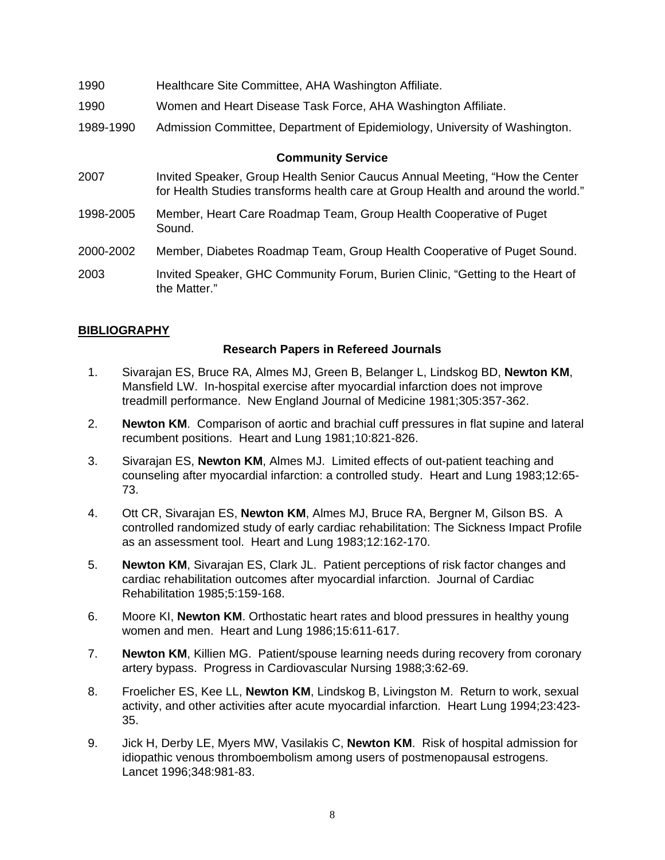| 1990                     | Healthcare Site Committee, AHA Washington Affiliate.                                                                                                            |  |
|--------------------------|-----------------------------------------------------------------------------------------------------------------------------------------------------------------|--|
| 1990                     | Women and Heart Disease Task Force, AHA Washington Affiliate.                                                                                                   |  |
| 1989-1990                | Admission Committee, Department of Epidemiology, University of Washington.                                                                                      |  |
| <b>Community Service</b> |                                                                                                                                                                 |  |
| 2007                     | Invited Speaker, Group Health Senior Caucus Annual Meeting, "How the Center<br>for Health Studies transforms health care at Group Health and around the world." |  |
| 1998-2005                | Member, Heart Care Roadmap Team, Group Health Cooperative of Puget<br>Sound.                                                                                    |  |
| 2000-2002                | Member, Diabetes Roadmap Team, Group Health Cooperative of Puget Sound.                                                                                         |  |
| 2003                     | Invited Speaker, GHC Community Forum, Burien Clinic, "Getting to the Heart of<br>the Matter."                                                                   |  |

# **BIBLIOGRAPHY**

## **Research Papers in Refereed Journals**

- 1. Sivarajan ES, Bruce RA, Almes MJ, Green B, Belanger L, Lindskog BD, **Newton KM**, Mansfield LW. In-hospital exercise after myocardial infarction does not improve treadmill performance. New England Journal of Medicine 1981;305:357-362.
- 2. **Newton KM**. Comparison of aortic and brachial cuff pressures in flat supine and lateral recumbent positions. Heart and Lung 1981;10:821-826.
- 3. Sivarajan ES, **Newton KM**, Almes MJ. Limited effects of out-patient teaching and counseling after myocardial infarction: a controlled study. Heart and Lung 1983;12:65- 73.
- 4. Ott CR, Sivarajan ES, **Newton KM**, Almes MJ, Bruce RA, Bergner M, Gilson BS. A controlled randomized study of early cardiac rehabilitation: The Sickness Impact Profile as an assessment tool. Heart and Lung 1983;12:162-170.
- 5. **Newton KM**, Sivarajan ES, Clark JL. Patient perceptions of risk factor changes and cardiac rehabilitation outcomes after myocardial infarction. Journal of Cardiac Rehabilitation 1985;5:159-168.
- 6. Moore KI, **Newton KM**. Orthostatic heart rates and blood pressures in healthy young women and men. Heart and Lung 1986;15:611-617.
- 7. **Newton KM**, Killien MG. Patient/spouse learning needs during recovery from coronary artery bypass. Progress in Cardiovascular Nursing 1988;3:62-69.
- 8. Froelicher ES, Kee LL, **Newton KM**, Lindskog B, Livingston M. Return to work, sexual activity, and other activities after acute myocardial infarction. Heart Lung 1994;23:423- 35.
- 9. Jick H, Derby LE, Myers MW, Vasilakis C, **Newton KM**. Risk of hospital admission for idiopathic venous thromboembolism among users of postmenopausal estrogens. Lancet 1996;348:981-83.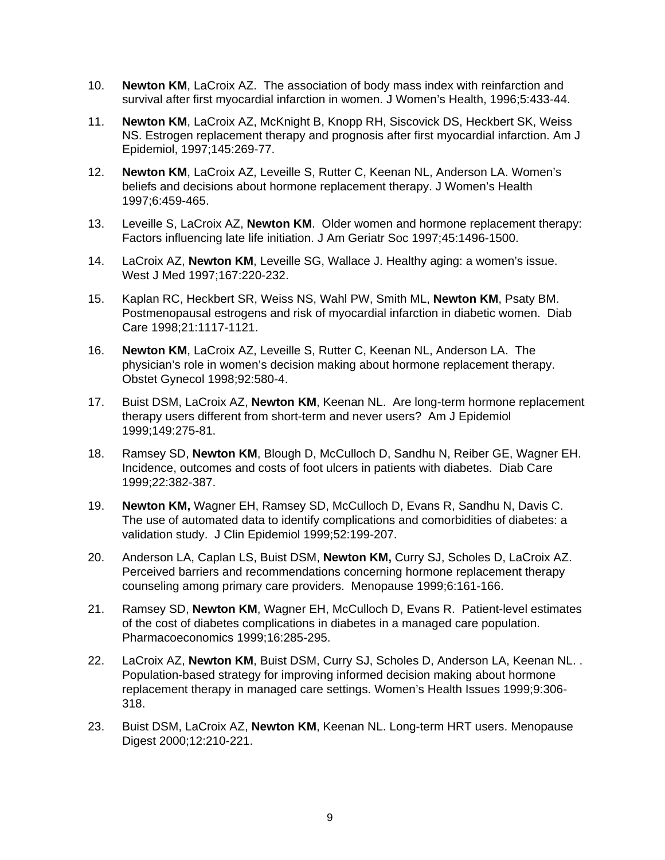- 10. **Newton KM**, LaCroix AZ. The association of body mass index with reinfarction and survival after first myocardial infarction in women. J Women's Health, 1996;5:433-44.
- 11. **Newton KM**, LaCroix AZ, McKnight B, Knopp RH, Siscovick DS, Heckbert SK, Weiss NS. Estrogen replacement therapy and prognosis after first myocardial infarction. Am J Epidemiol, 1997;145:269-77.
- 12. **Newton KM**, LaCroix AZ, Leveille S, Rutter C, Keenan NL, Anderson LA. Women's beliefs and decisions about hormone replacement therapy. J Women's Health 1997;6:459-465.
- 13. Leveille S, LaCroix AZ, **Newton KM**. Older women and hormone replacement therapy: Factors influencing late life initiation. J Am Geriatr Soc 1997;45:1496-1500.
- 14. LaCroix AZ, **Newton KM**, Leveille SG, Wallace J. Healthy aging: a women's issue. West J Med 1997;167:220-232.
- 15. Kaplan RC, Heckbert SR, Weiss NS, Wahl PW, Smith ML, **Newton KM**, Psaty BM. Postmenopausal estrogens and risk of myocardial infarction in diabetic women. Diab Care 1998;21:1117-1121.
- 16. **Newton KM**, LaCroix AZ, Leveille S, Rutter C, Keenan NL, Anderson LA. The physician's role in women's decision making about hormone replacement therapy. Obstet Gynecol 1998;92:580-4.
- 17. Buist DSM, LaCroix AZ, **Newton KM**, Keenan NL. Are long-term hormone replacement therapy users different from short-term and never users? Am J Epidemiol 1999;149:275-81.
- 18. Ramsey SD, **Newton KM**, Blough D, McCulloch D, Sandhu N, Reiber GE, Wagner EH. Incidence, outcomes and costs of foot ulcers in patients with diabetes. Diab Care 1999;22:382-387.
- 19. **Newton KM,** Wagner EH, Ramsey SD, McCulloch D, Evans R, Sandhu N, Davis C. The use of automated data to identify complications and comorbidities of diabetes: a validation study. J Clin Epidemiol 1999;52:199-207.
- 20. Anderson LA, Caplan LS, Buist DSM, **Newton KM,** Curry SJ, Scholes D, LaCroix AZ. Perceived barriers and recommendations concerning hormone replacement therapy counseling among primary care providers. Menopause 1999;6:161-166.
- 21. Ramsey SD, **Newton KM**, Wagner EH, McCulloch D, Evans R. Patient-level estimates of the cost of diabetes complications in diabetes in a managed care population. Pharmacoeconomics 1999;16:285-295.
- 22. LaCroix AZ, **Newton KM**, Buist DSM, Curry SJ, Scholes D, Anderson LA, Keenan NL. . Population-based strategy for improving informed decision making about hormone replacement therapy in managed care settings. Women's Health Issues 1999;9:306- 318.
- 23. Buist DSM, LaCroix AZ, **Newton KM**, Keenan NL. Long-term HRT users. Menopause Digest 2000;12:210-221.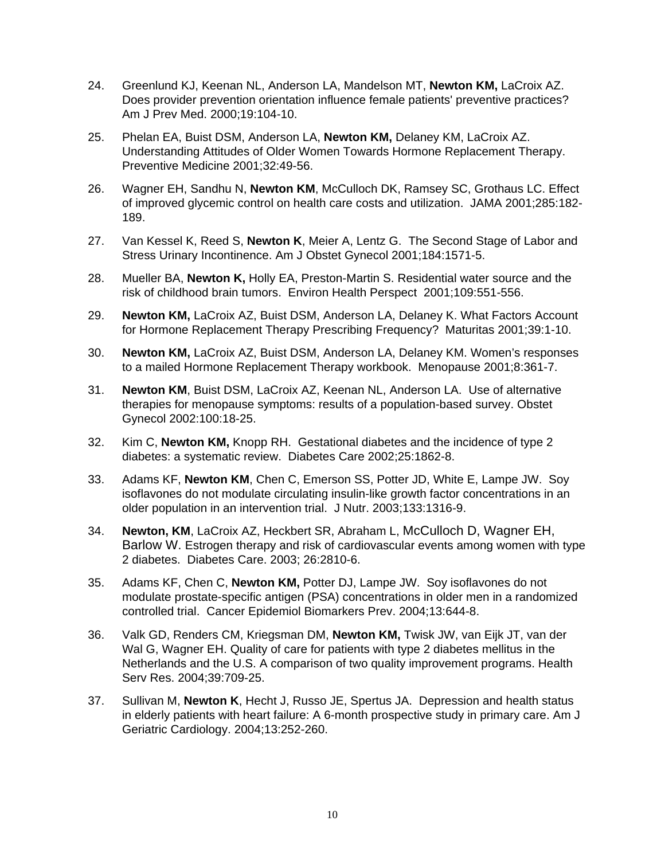- 24. Greenlund KJ, Keenan NL, Anderson LA, Mandelson MT, **Newton KM,** LaCroix AZ. Does provider prevention orientation influence female patients' preventive practices? Am J Prev Med. 2000;19:104-10.
- 25. Phelan EA, Buist DSM, Anderson LA, **Newton KM,** Delaney KM, LaCroix AZ. Understanding Attitudes of Older Women Towards Hormone Replacement Therapy. Preventive Medicine 2001;32:49-56.
- 26. Wagner EH, Sandhu N, **Newton KM**, McCulloch DK, Ramsey SC, Grothaus LC. Effect of improved glycemic control on health care costs and utilization. JAMA 2001;285:182- 189.
- 27. Van Kessel K, Reed S, **Newton K**, Meier A, Lentz G. The Second Stage of Labor and Stress Urinary Incontinence. Am J Obstet Gynecol 2001;184:1571-5.
- 28. Mueller BA, **Newton K,** Holly EA, Preston-Martin S. Residential water source and the risk of childhood brain tumors. Environ Health Perspect 2001;109:551-556.
- 29. **Newton KM,** LaCroix AZ, Buist DSM, Anderson LA, Delaney K. What Factors Account for Hormone Replacement Therapy Prescribing Frequency? Maturitas 2001;39:1-10.
- 30. **Newton KM,** LaCroix AZ, Buist DSM, Anderson LA, Delaney KM. Women's responses to a mailed Hormone Replacement Therapy workbook. Menopause 2001;8:361-7.
- 31. **Newton KM**, Buist DSM, LaCroix AZ, Keenan NL, Anderson LA. Use of alternative therapies for menopause symptoms: results of a population-based survey. Obstet Gynecol 2002:100:18-25.
- 32. Kim C, **Newton KM,** Knopp RH. Gestational diabetes and the incidence of type 2 diabetes: a systematic review. Diabetes Care 2002;25:1862-8.
- 33. Adams KF, **Newton KM**, Chen C, Emerson SS, Potter JD, White E, Lampe JW. Soy isoflavones do not modulate circulating insulin-like growth factor concentrations in an older population in an intervention trial. J Nutr. 2003;133:1316-9.
- 34. **Newton, KM**, LaCroix AZ, Heckbert SR, Abraham L, McCulloch D, Wagner EH, Barlow W. Estrogen therapy and risk of cardiovascular events among women with type 2 diabetes. Diabetes Care. 2003; 26:2810-6.
- 35. Adams KF, Chen C, **Newton KM,** Potter DJ, Lampe JW. Soy isoflavones do not modulate prostate-specific antigen (PSA) concentrations in older men in a randomized controlled trial. Cancer Epidemiol Biomarkers Prev. 2004;13:644-8.
- 36. Valk GD, Renders CM, Kriegsman DM, **Newton KM,** Twisk JW, van Eijk JT, van der Wal G, Wagner EH. Quality of care for patients with type 2 diabetes mellitus in the Netherlands and the U.S. A comparison of two quality improvement programs. Health Serv Res. 2004;39:709-25.
- 37. Sullivan M, **Newton K**, Hecht J, Russo JE, Spertus JA. Depression and health status in elderly patients with heart failure: A 6-month prospective study in primary care. Am J Geriatric Cardiology. 2004;13:252-260.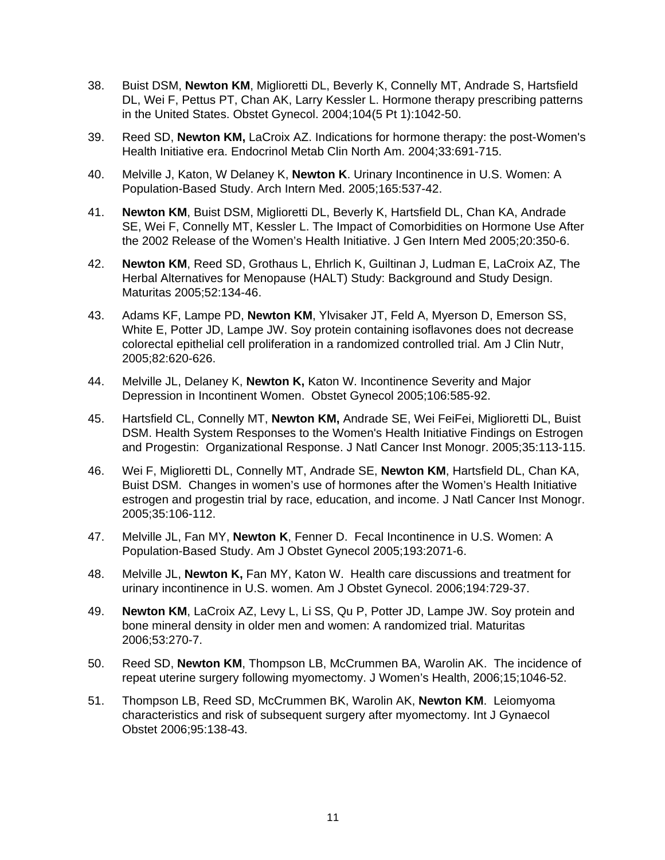- 38. Buist DSM, **Newton KM**, Miglioretti DL, Beverly K, Connelly MT, Andrade S, Hartsfield DL, Wei F, Pettus PT, Chan AK, Larry Kessler L. Hormone therapy prescribing patterns in the United States. Obstet Gynecol. 2004;104(5 Pt 1):1042-50.
- 39. Reed SD, **Newton KM,** LaCroix AZ. Indications for hormone therapy: the post-Women's Health Initiative era. Endocrinol Metab Clin North Am. 2004;33:691-715.
- 40. Melville J, Katon, W Delaney K, **Newton K**. Urinary Incontinence in U.S. Women: A Population-Based Study. Arch Intern Med. 2005;165:537-42.
- 41. **Newton KM**, Buist DSM, Miglioretti DL, Beverly K, Hartsfield DL, Chan KA, Andrade SE, Wei F, Connelly MT, Kessler L. The Impact of Comorbidities on Hormone Use After the 2002 Release of the Women's Health Initiative. J Gen Intern Med 2005;20:350-6.
- 42. **Newton KM**, Reed SD, Grothaus L, Ehrlich K, Guiltinan J, Ludman E, LaCroix AZ, The Herbal Alternatives for Menopause (HALT) Study: Background and Study Design. Maturitas 2005;52:134-46.
- 43. Adams KF, Lampe PD, **Newton KM**, Ylvisaker JT, Feld A, Myerson D, Emerson SS, White E, Potter JD, Lampe JW. Soy protein containing isoflavones does not decrease colorectal epithelial cell proliferation in a randomized controlled trial. Am J Clin Nutr, 2005;82:620-626.
- 44. Melville JL, Delaney K, **Newton K,** Katon W. Incontinence Severity and Major Depression in Incontinent Women. Obstet Gynecol 2005;106:585-92.
- 45. Hartsfield CL, Connelly MT, **Newton KM,** Andrade SE, Wei FeiFei, Miglioretti DL, Buist DSM. Health System Responses to the Women's Health Initiative Findings on Estrogen and Progestin: Organizational Response. J Natl Cancer Inst Monogr. 2005;35:113-115.
- 46. Wei F, Miglioretti DL, Connelly MT, Andrade SE, **Newton KM**, Hartsfield DL, Chan KA, Buist DSM. Changes in women's use of hormones after the Women's Health Initiative estrogen and progestin trial by race, education, and income. J Natl Cancer Inst Monogr. 2005;35:106-112.
- 47. Melville JL, Fan MY, **Newton K**, Fenner D. Fecal Incontinence in U.S. Women: A Population-Based Study. Am J Obstet Gynecol 2005;193:2071-6.
- 48. Melville JL, **Newton K,** Fan MY, Katon W. Health care discussions and treatment for urinary incontinence in U.S. women. Am J Obstet Gynecol. 2006;194:729-37.
- 49. **Newton KM**, LaCroix AZ, Levy L, Li SS, Qu P, Potter JD, Lampe JW. Soy protein and bone mineral density in older men and women: A randomized trial. Maturitas 2006;53:270-7.
- 50. Reed SD, **Newton KM**, Thompson LB, McCrummen BA, Warolin AK. The incidence of repeat uterine surgery following myomectomy. J Women's Health, 2006;15;1046-52.
- 51. Thompson LB, Reed SD, McCrummen BK, Warolin AK, **Newton KM**. Leiomyoma characteristics and risk of subsequent surgery after myomectomy. Int J Gynaecol Obstet 2006;95:138-43.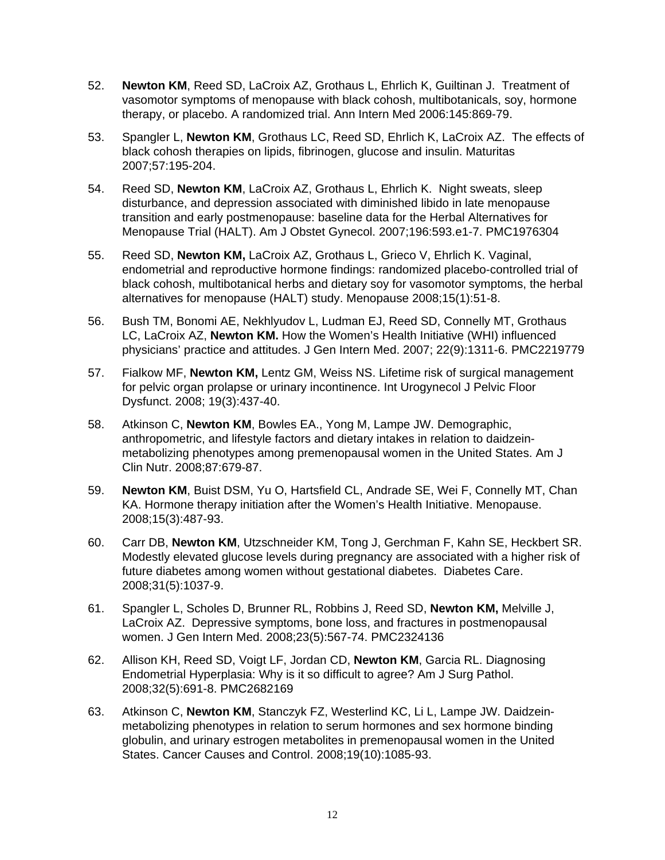- 52. **Newton KM**, Reed SD, LaCroix AZ, Grothaus L, Ehrlich K, Guiltinan J. Treatment of vasomotor symptoms of menopause with black cohosh, multibotanicals, soy, hormone therapy, or placebo. A randomized trial. Ann Intern Med 2006:145:869-79.
- 53. Spangler L, **Newton KM**, Grothaus LC, Reed SD, Ehrlich K, LaCroix AZ. The effects of black cohosh therapies on lipids, fibrinogen, glucose and insulin. Maturitas 2007;57:195-204.
- 54. Reed SD, **Newton KM**, LaCroix AZ, Grothaus L, Ehrlich K. Night sweats, sleep disturbance, and depression associated with diminished libido in late menopause transition and early postmenopause: baseline data for the Herbal Alternatives for Menopause Trial (HALT). Am J Obstet Gynecol. 2007;196:593.e1-7. PMC1976304
- 55. Reed SD, **Newton KM,** LaCroix AZ, Grothaus L, Grieco V, Ehrlich K. Vaginal, endometrial and reproductive hormone findings: randomized placebo-controlled trial of black cohosh, multibotanical herbs and dietary soy for vasomotor symptoms, the herbal alternatives for menopause (HALT) study. Menopause 2008;15(1):51-8.
- 56. Bush TM, Bonomi AE, Nekhlyudov L, Ludman EJ, Reed SD, Connelly MT, Grothaus LC, LaCroix AZ, **Newton KM.** How the Women's Health Initiative (WHI) influenced physicians' practice and attitudes. J Gen Intern Med. 2007; 22(9):1311-6. PMC2219779
- 57. Fialkow MF, **Newton KM,** Lentz GM, Weiss NS. Lifetime risk of surgical management for pelvic organ prolapse or urinary incontinence. Int Urogynecol J Pelvic Floor Dysfunct. 2008; 19(3):437-40.
- 58. Atkinson C, **Newton KM**, Bowles EA., Yong M, Lampe JW. Demographic, anthropometric, and lifestyle factors and dietary intakes in relation to daidzeinmetabolizing phenotypes among premenopausal women in the United States. Am J Clin Nutr. 2008;87:679-87.
- 59. **Newton KM**, Buist DSM, Yu O, Hartsfield CL, Andrade SE, Wei F, Connelly MT, Chan KA. Hormone therapy initiation after the Women's Health Initiative. Menopause. 2008;15(3):487-93.
- 60. Carr DB, **Newton KM**, Utzschneider KM, Tong J, Gerchman F, Kahn SE, Heckbert SR. Modestly elevated glucose levels during pregnancy are associated with a higher risk of future diabetes among women without gestational diabetes. Diabetes Care. 2008;31(5):1037-9.
- 61. Spangler L, Scholes D, Brunner RL, Robbins J, Reed SD, **Newton KM,** Melville J, LaCroix AZ. Depressive symptoms, bone loss, and fractures in postmenopausal women. J Gen Intern Med. 2008;23(5):567-74. PMC2324136
- 62. Allison KH, Reed SD, Voigt LF, Jordan CD, **Newton KM**, Garcia RL. Diagnosing Endometrial Hyperplasia: Why is it so difficult to agree? Am J Surg Pathol. 2008;32(5):691-8. PMC2682169
- 63. Atkinson C, **Newton KM**, Stanczyk FZ, Westerlind KC, Li L, Lampe JW. Daidzeinmetabolizing phenotypes in relation to serum hormones and sex hormone binding globulin, and urinary estrogen metabolites in premenopausal women in the United States. Cancer Causes and Control. 2008;19(10):1085-93.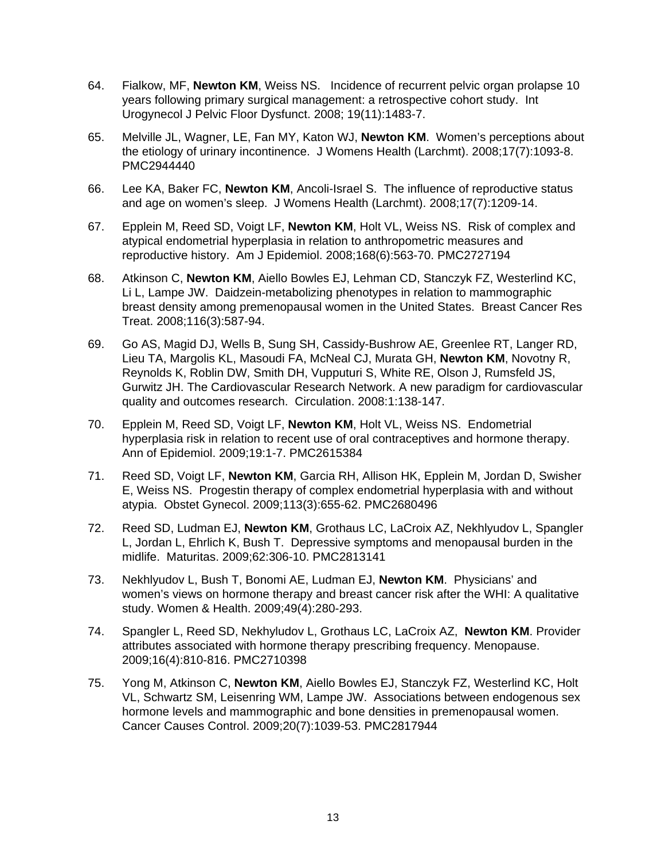- 64. Fialkow, MF, **Newton KM**, Weiss NS. Incidence of recurrent pelvic organ prolapse 10 years following primary surgical management: a retrospective cohort study. Int Urogynecol J Pelvic Floor Dysfunct. 2008; 19(11):1483-7.
- 65. Melville JL, Wagner, LE, Fan MY, Katon WJ, **Newton KM**. Women's perceptions about the etiology of urinary incontinence. J Womens Health (Larchmt). 2008;17(7):1093-8. PMC2944440
- 66. Lee KA, Baker FC, **Newton KM**, Ancoli-Israel S. The influence of reproductive status and age on women's sleep. J Womens Health (Larchmt). 2008;17(7):1209-14.
- 67. Epplein M, Reed SD, Voigt LF, **Newton KM**, Holt VL, Weiss NS. Risk of complex and atypical endometrial hyperplasia in relation to anthropometric measures and reproductive history. Am J Epidemiol. 2008;168(6):563-70. PMC2727194
- 68. Atkinson C, **Newton KM**, Aiello Bowles EJ, Lehman CD, Stanczyk FZ, Westerlind KC, Li L, Lampe JW. Daidzein-metabolizing phenotypes in relation to mammographic breast density among premenopausal women in the United States. Breast Cancer Res Treat. 2008;116(3):587-94.
- 69. Go AS, Magid DJ, Wells B, Sung SH, Cassidy-Bushrow AE, Greenlee RT, Langer RD, Lieu TA, Margolis KL, Masoudi FA, McNeal CJ, Murata GH, **Newton KM**, Novotny R, Reynolds K, Roblin DW, Smith DH, Vupputuri S, White RE, Olson J, Rumsfeld JS, Gurwitz JH. The Cardiovascular Research Network. A new paradigm for cardiovascular quality and outcomes research. Circulation. 2008:1:138-147.
- 70. Epplein M, Reed SD, Voigt LF, **Newton KM**, Holt VL, Weiss NS. Endometrial hyperplasia risk in relation to recent use of oral contraceptives and hormone therapy. Ann of Epidemiol. 2009;19:1-7. PMC2615384
- 71. Reed SD, Voigt LF, **Newton KM**, Garcia RH, Allison HK, Epplein M, Jordan D, Swisher E, Weiss NS. Progestin therapy of complex endometrial hyperplasia with and without atypia. Obstet Gynecol. 2009;113(3):655-62. PMC2680496
- 72. Reed SD, Ludman EJ, **Newton KM**, Grothaus LC, LaCroix AZ, Nekhlyudov L, Spangler L, Jordan L, Ehrlich K, Bush T. Depressive symptoms and menopausal burden in the midlife. Maturitas. 2009;62:306-10. PMC2813141
- 73. Nekhlyudov L, Bush T, Bonomi AE, Ludman EJ, **Newton KM**. Physicians' and women's views on hormone therapy and breast cancer risk after the WHI: A qualitative study. Women & Health. 2009;49(4):280-293.
- 74. Spangler L, Reed SD, Nekhyludov L, Grothaus LC, LaCroix AZ, **Newton KM**. Provider attributes associated with hormone therapy prescribing frequency. Menopause. 2009;16(4):810-816. PMC2710398
- 75. Yong M, Atkinson C, **Newton KM**, Aiello Bowles EJ, Stanczyk FZ, Westerlind KC, Holt VL, Schwartz SM, Leisenring WM, Lampe JW. Associations between endogenous sex hormone levels and mammographic and bone densities in premenopausal women. Cancer Causes Control. 2009;20(7):1039-53. PMC2817944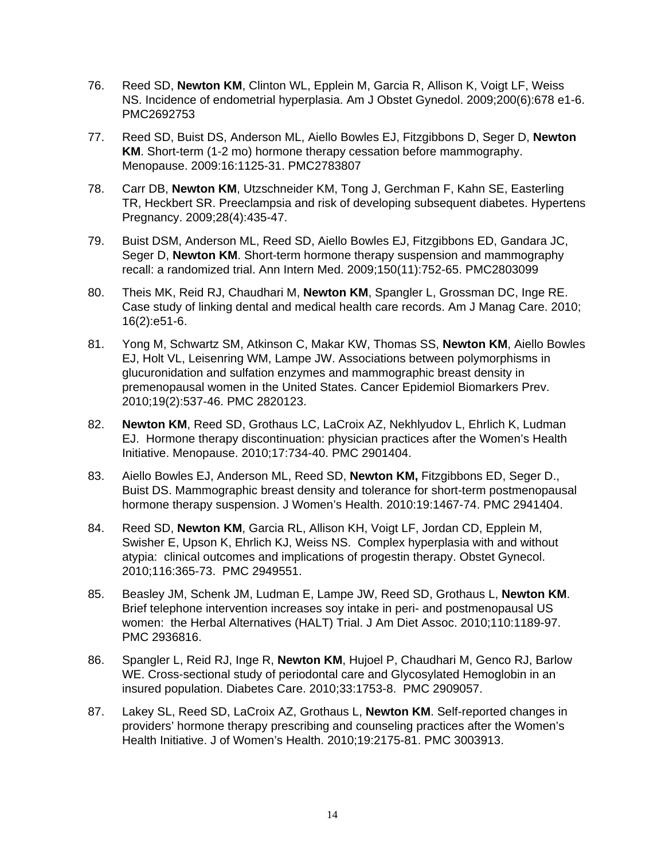- 76. Reed SD, **Newton KM**, Clinton WL, Epplein M, Garcia R, Allison K, Voigt LF, Weiss NS. Incidence of endometrial hyperplasia. Am J Obstet Gynedol. 2009;200(6):678 e1-6. PMC2692753
- 77. Reed SD, Buist DS, Anderson ML, Aiello Bowles EJ, Fitzgibbons D, Seger D, **Newton KM**. Short-term (1-2 mo) hormone therapy cessation before mammography. Menopause. 2009:16:1125-31. PMC2783807
- 78. Carr DB, **Newton KM**, Utzschneider KM, Tong J, Gerchman F, Kahn SE, Easterling TR, Heckbert SR. Preeclampsia and risk of developing subsequent diabetes. Hypertens Pregnancy. 2009;28(4):435-47.
- 79. Buist DSM, Anderson ML, Reed SD, Aiello Bowles EJ, Fitzgibbons ED, Gandara JC, Seger D, **Newton KM**. Short-term hormone therapy suspension and mammography recall: a randomized trial. Ann Intern Med. 2009;150(11):752-65. PMC2803099
- 80. Theis MK, Reid RJ, Chaudhari M, **Newton KM**, Spangler L, Grossman DC, Inge RE. Case study of linking dental and medical health care records. Am J Manag Care. 2010; 16(2):e51-6.
- 81. Yong M, Schwartz SM, Atkinson C, Makar KW, Thomas SS, **Newton KM**, Aiello Bowles EJ, Holt VL, Leisenring WM, Lampe JW. Associations between polymorphisms in glucuronidation and sulfation enzymes and mammographic breast density in premenopausal women in the United States. Cancer Epidemiol Biomarkers Prev. 2010;19(2):537-46. PMC 2820123.
- 82. **Newton KM**, Reed SD, Grothaus LC, LaCroix AZ, Nekhlyudov L, Ehrlich K, Ludman EJ. Hormone therapy discontinuation: physician practices after the Women's Health Initiative. Menopause. 2010;17:734-40. PMC 2901404.
- 83. Aiello Bowles EJ, Anderson ML, Reed SD, **Newton KM,** Fitzgibbons ED, Seger D., Buist DS. Mammographic breast density and tolerance for short-term postmenopausal hormone therapy suspension. J Women's Health. 2010:19:1467-74. PMC 2941404.
- 84. Reed SD, **Newton KM**, Garcia RL, Allison KH, Voigt LF, Jordan CD, Epplein M, Swisher E, Upson K, Ehrlich KJ, Weiss NS. Complex hyperplasia with and without atypia: clinical outcomes and implications of progestin therapy. Obstet Gynecol. 2010;116:365-73. PMC 2949551.
- 85. Beasley JM, Schenk JM, Ludman E, Lampe JW, Reed SD, Grothaus L, **Newton KM**. Brief telephone intervention increases soy intake in peri- and postmenopausal US women: the Herbal Alternatives (HALT) Trial. J Am Diet Assoc. 2010;110:1189-97. PMC 2936816.
- 86. Spangler L, Reid RJ, Inge R, **Newton KM**, Hujoel P, Chaudhari M, Genco RJ, Barlow WE. Cross-sectional study of periodontal care and Glycosylated Hemoglobin in an insured population. Diabetes Care. 2010;33:1753-8. PMC 2909057.
- 87. Lakey SL, Reed SD, LaCroix AZ, Grothaus L, **Newton KM**. Self-reported changes in providers' hormone therapy prescribing and counseling practices after the Women's Health Initiative. J of Women's Health. 2010;19:2175-81. PMC 3003913.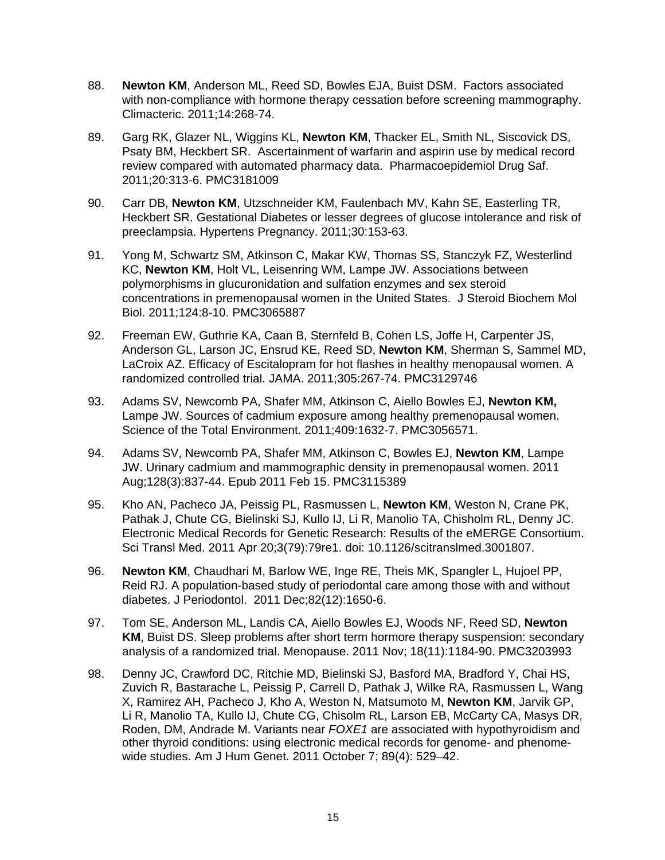- 88. **Newton KM**, Anderson ML, Reed SD, Bowles EJA, Buist DSM. Factors associated with non-compliance with hormone therapy cessation before screening mammography. Climacteric. 2011;14:268-74.
- 89. Garg RK, Glazer NL, Wiggins KL, **Newton KM**, Thacker EL, Smith NL, Siscovick DS, Psaty BM, Heckbert SR. Ascertainment of warfarin and aspirin use by medical record review compared with automated pharmacy data. Pharmacoepidemiol Drug Saf. 2011;20:313-6. PMC3181009
- 90. Carr DB, **Newton KM**, Utzschneider KM, Faulenbach MV, Kahn SE, Easterling TR, Heckbert SR. Gestational Diabetes or lesser degrees of glucose intolerance and risk of preeclampsia. Hypertens Pregnancy. 2011;30:153-63.
- 91. Yong M, Schwartz SM, Atkinson C, Makar KW, Thomas SS, Stanczyk FZ, Westerlind KC, **Newton KM**, Holt VL, Leisenring WM, Lampe JW. Associations between polymorphisms in glucuronidation and sulfation enzymes and sex steroid concentrations in premenopausal women in the United States. J Steroid Biochem Mol Biol. 2011;124:8-10. PMC3065887
- 92. Freeman EW, Guthrie KA, Caan B, Sternfeld B, Cohen LS, Joffe H, Carpenter JS, Anderson GL, Larson JC, Ensrud KE, Reed SD, **Newton KM**, Sherman S, Sammel MD, LaCroix AZ. Efficacy of Escitalopram for hot flashes in healthy menopausal women. A randomized controlled trial. JAMA. 2011;305:267-74. PMC3129746
- 93. Adams SV, Newcomb PA, Shafer MM, Atkinson C, Aiello Bowles EJ, **Newton KM,** Lampe JW. Sources of cadmium exposure among healthy premenopausal women. Science of the Total Environment. 2011;409:1632-7. PMC3056571.
- 94. Adams SV, Newcomb PA, Shafer MM, Atkinson C, Bowles EJ, **Newton KM**, Lampe JW. Urinary cadmium and mammographic density in premenopausal women. 2011 Aug;128(3):837-44. Epub 2011 Feb 15. PMC3115389
- 95. Kho AN, Pacheco JA, Peissig PL, Rasmussen L, **Newton KM**, Weston N, Crane PK, Pathak J, Chute CG, Bielinski SJ, Kullo IJ, Li R, Manolio TA, Chisholm RL, Denny JC. Electronic Medical Records for Genetic Research: Results of the eMERGE Consortium. Sci Transl Med. 2011 Apr 20;3(79):79re1. doi: 10.1126/scitranslmed.3001807.
- 96. **Newton KM**, Chaudhari M, Barlow WE, Inge RE, Theis MK, Spangler L, Hujoel PP, Reid RJ. A population-based study of periodontal care among those with and without diabetes. J Periodontol. 2011 Dec;82(12):1650-6.
- 97. Tom SE, Anderson ML, Landis CA, Aiello Bowles EJ, Woods NF, Reed SD, **Newton KM**, Buist DS. Sleep problems after short term hormore therapy suspension: secondary analysis of a randomized trial. Menopause. 2011 Nov; 18(11):1184-90. PMC3203993
- 98. Denny JC, Crawford DC, Ritchie MD, Bielinski SJ, Basford MA, Bradford Y, Chai HS, Zuvich R, Bastarache L, Peissig P, Carrell D, Pathak J, Wilke RA, Rasmussen L, Wang X, Ramirez AH, Pacheco J, Kho A, Weston N, Matsumoto M, **Newton KM**, Jarvik GP, Li R, Manolio TA, Kullo IJ, Chute CG, Chisolm RL, Larson EB, McCarty CA, Masys DR, Roden, DM, Andrade M. Variants near *FOXE1* are associated with hypothyroidism and other thyroid conditions: using electronic medical records for genome- and phenomewide studies. Am J Hum Genet. 2011 October 7; 89(4): 529–42.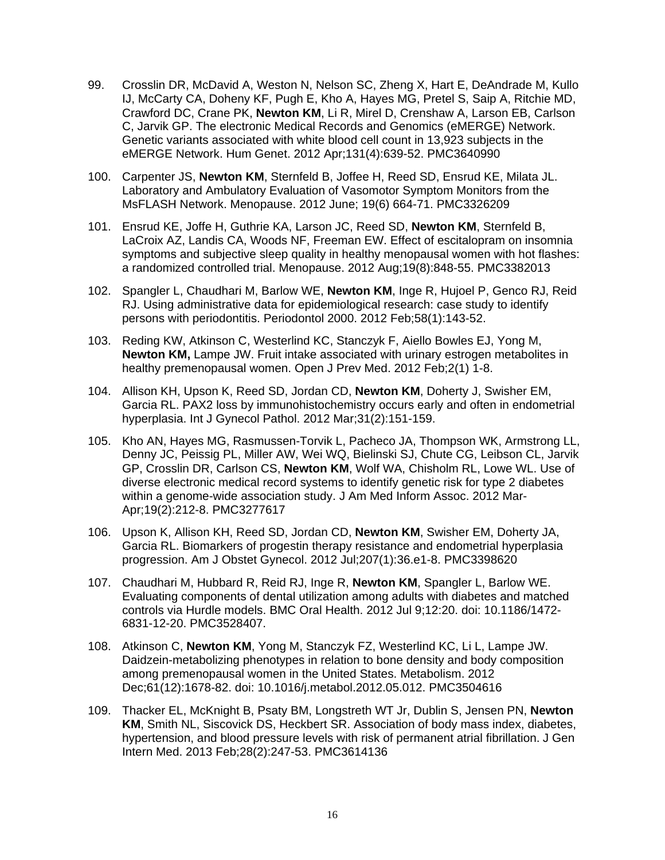- 99. Crosslin DR, McDavid A, Weston N, Nelson SC, Zheng X, Hart E, DeAndrade M, Kullo IJ, McCarty CA, Doheny KF, Pugh E, Kho A, Hayes MG, Pretel S, Saip A, Ritchie MD, Crawford DC, Crane PK, **Newton KM**, Li R, Mirel D, Crenshaw A, Larson EB, Carlson C, Jarvik GP. The electronic Medical Records and Genomics (eMERGE) Network. Genetic variants associated with white blood cell count in 13,923 subjects in the eMERGE Network. Hum Genet. 2012 Apr;131(4):639-52. PMC3640990
- 100. Carpenter JS, **Newton KM**, Sternfeld B, Joffee H, Reed SD, Ensrud KE, Milata JL. Laboratory and Ambulatory Evaluation of Vasomotor Symptom Monitors from the MsFLASH Network. Menopause. 2012 June; 19(6) 664-71. PMC3326209
- 101. Ensrud KE, Joffe H, Guthrie KA, Larson JC, Reed SD, **Newton KM**, Sternfeld B, LaCroix AZ, Landis CA, Woods NF, Freeman EW. Effect of escitalopram on insomnia symptoms and subjective sleep quality in healthy menopausal women with hot flashes: a randomized controlled trial. Menopause. 2012 Aug;19(8):848-55. PMC3382013
- 102. Spangler L, Chaudhari M, Barlow WE, **Newton KM**, Inge R, Hujoel P, Genco RJ, Reid RJ. Using administrative data for epidemiological research: case study to identify persons with periodontitis. Periodontol 2000. 2012 Feb;58(1):143-52.
- 103. Reding KW, Atkinson C, Westerlind KC, Stanczyk F, Aiello Bowles EJ, Yong M, **Newton KM,** Lampe JW. Fruit intake associated with urinary estrogen metabolites in healthy premenopausal women. Open J Prev Med. 2012 Feb;2(1) 1-8.
- 104. Allison KH, Upson K, Reed SD, Jordan CD, **Newton KM**, Doherty J, Swisher EM, Garcia RL. PAX2 loss by immunohistochemistry occurs early and often in endometrial hyperplasia. Int J Gynecol Pathol. 2012 Mar;31(2):151-159.
- 105. Kho AN, Hayes MG, Rasmussen-Torvik L, Pacheco JA, Thompson WK, Armstrong LL, Denny JC, Peissig PL, Miller AW, Wei WQ, Bielinski SJ, Chute CG, Leibson CL, Jarvik GP, Crosslin DR, Carlson CS, **Newton KM**, Wolf WA, Chisholm RL, Lowe WL. Use of diverse electronic medical record systems to identify genetic risk for type 2 diabetes within a genome-wide association study. J Am Med Inform Assoc. 2012 Mar-Apr;19(2):212-8. PMC3277617
- 106. Upson K, Allison KH, Reed SD, Jordan CD, **Newton KM**, Swisher EM, Doherty JA, Garcia RL. Biomarkers of progestin therapy resistance and endometrial hyperplasia progression. Am J Obstet Gynecol. 2012 Jul;207(1):36.e1-8. PMC3398620
- 107. Chaudhari M, Hubbard R, Reid RJ, Inge R, **Newton KM**, Spangler L, Barlow WE. Evaluating components of dental utilization among adults with diabetes and matched controls via Hurdle models. BMC Oral Health. 2012 Jul 9;12:20. doi: 10.1186/1472- 6831-12-20. PMC3528407.
- 108. Atkinson C, **Newton KM**, Yong M, Stanczyk FZ, Westerlind KC, Li L, Lampe JW. Daidzein-metabolizing phenotypes in relation to bone density and body composition among premenopausal women in the United States. Metabolism. 2012 Dec;61(12):1678-82. doi: 10.1016/j.metabol.2012.05.012. PMC3504616
- 109. Thacker EL, McKnight B, Psaty BM, Longstreth WT Jr, Dublin S, Jensen PN, **Newton KM**, Smith NL, Siscovick DS, Heckbert SR. Association of body mass index, diabetes, hypertension, and blood pressure levels with risk of permanent atrial fibrillation. J Gen Intern Med. 2013 Feb;28(2):247-53. PMC3614136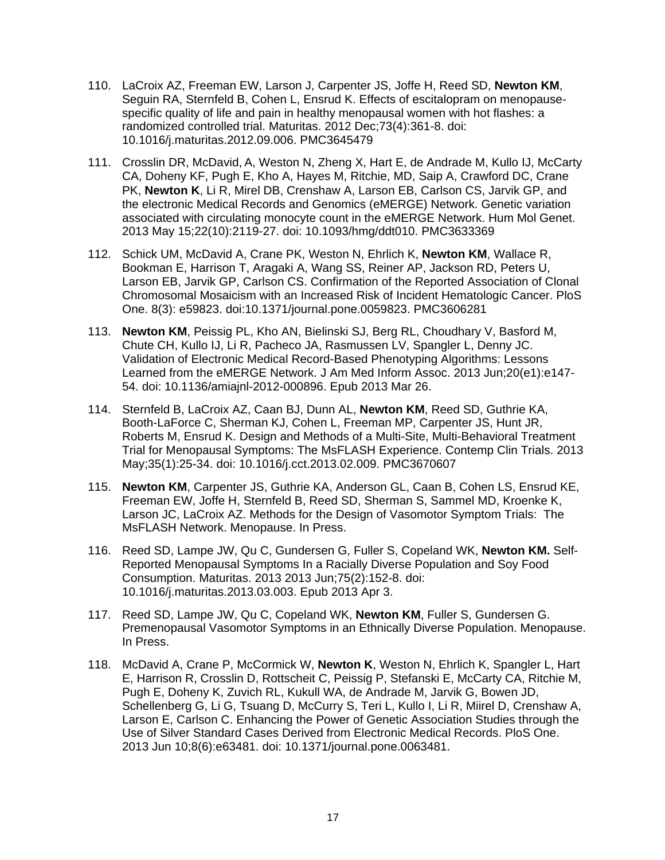- 110. LaCroix AZ, Freeman EW, Larson J, Carpenter JS, Joffe H, Reed SD, **Newton KM**, Seguin RA, Sternfeld B, Cohen L, Ensrud K. Effects of escitalopram on menopausespecific quality of life and pain in healthy menopausal women with hot flashes: a randomized controlled trial. Maturitas. 2012 Dec;73(4):361-8. doi: 10.1016/j.maturitas.2012.09.006. PMC3645479
- 111. Crosslin DR, McDavid, A, Weston N, Zheng X, Hart E, de Andrade M, Kullo IJ, McCarty CA, Doheny KF, Pugh E, Kho A, Hayes M, Ritchie, MD, Saip A, Crawford DC, Crane PK, **Newton K**, Li R, Mirel DB, Crenshaw A, Larson EB, Carlson CS, Jarvik GP, and the electronic Medical Records and Genomics (eMERGE) Network. Genetic variation associated with circulating monocyte count in the eMERGE Network. Hum Mol Genet. 2013 May 15;22(10):2119-27. doi: 10.1093/hmg/ddt010. PMC3633369
- 112. Schick UM, McDavid A, Crane PK, Weston N, Ehrlich K, **Newton KM**, Wallace R, Bookman E, Harrison T, Aragaki A, Wang SS, Reiner AP, Jackson RD, Peters U, Larson EB, Jarvik GP, Carlson CS. Confirmation of the Reported Association of Clonal Chromosomal Mosaicism with an Increased Risk of Incident Hematologic Cancer. PloS One. 8(3): e59823. doi:10.1371/journal.pone.0059823. PMC3606281
- 113. **Newton KM**, Peissig PL, Kho AN, Bielinski SJ, Berg RL, Choudhary V, Basford M, Chute CH, Kullo IJ, Li R, Pacheco JA, Rasmussen LV, Spangler L, Denny JC. Validation of Electronic Medical Record-Based Phenotyping Algorithms: Lessons Learned from the eMERGE Network. J Am Med Inform Assoc. 2013 Jun;20(e1):e147- 54. doi: 10.1136/amiajnl-2012-000896. Epub 2013 Mar 26.
- 114. Sternfeld B, LaCroix AZ, Caan BJ, Dunn AL, **Newton KM**, Reed SD, Guthrie KA, Booth-LaForce C, Sherman KJ, Cohen L, Freeman MP, Carpenter JS, Hunt JR, Roberts M, Ensrud K. Design and Methods of a Multi-Site, Multi-Behavioral Treatment Trial for Menopausal Symptoms: The MsFLASH Experience. Contemp Clin Trials. 2013 May;35(1):25-34. doi: 10.1016/j.cct.2013.02.009. PMC3670607
- 115. **Newton KM**, Carpenter JS, Guthrie KA, Anderson GL, Caan B, Cohen LS, Ensrud KE, Freeman EW, Joffe H, Sternfeld B, Reed SD, Sherman S, Sammel MD, Kroenke K, Larson JC, LaCroix AZ. Methods for the Design of Vasomotor Symptom Trials: The MsFLASH Network. Menopause. In Press.
- 116. Reed SD, Lampe JW, Qu C, Gundersen G, Fuller S, Copeland WK, **Newton KM.** Self-Reported Menopausal Symptoms In a Racially Diverse Population and Soy Food Consumption. Maturitas. 2013 2013 Jun;75(2):152-8. doi: 10.1016/j.maturitas.2013.03.003. Epub 2013 Apr 3.
- 117. Reed SD, Lampe JW, Qu C, Copeland WK, **Newton KM**, Fuller S, Gundersen G. Premenopausal Vasomotor Symptoms in an Ethnically Diverse Population. Menopause. In Press.
- 118. McDavid A, Crane P, McCormick W, **Newton K**, Weston N, Ehrlich K, Spangler L, Hart E, Harrison R, Crosslin D, Rottscheit C, Peissig P, Stefanski E, McCarty CA, Ritchie M, Pugh E, Doheny K, Zuvich RL, Kukull WA, de Andrade M, Jarvik G, Bowen JD, Schellenberg G, Li G, Tsuang D, McCurry S, Teri L, Kullo I, Li R, Miirel D, Crenshaw A, Larson E, Carlson C. Enhancing the Power of Genetic Association Studies through the Use of Silver Standard Cases Derived from Electronic Medical Records. PloS One. 2013 Jun 10;8(6):e63481. doi: 10.1371/journal.pone.0063481.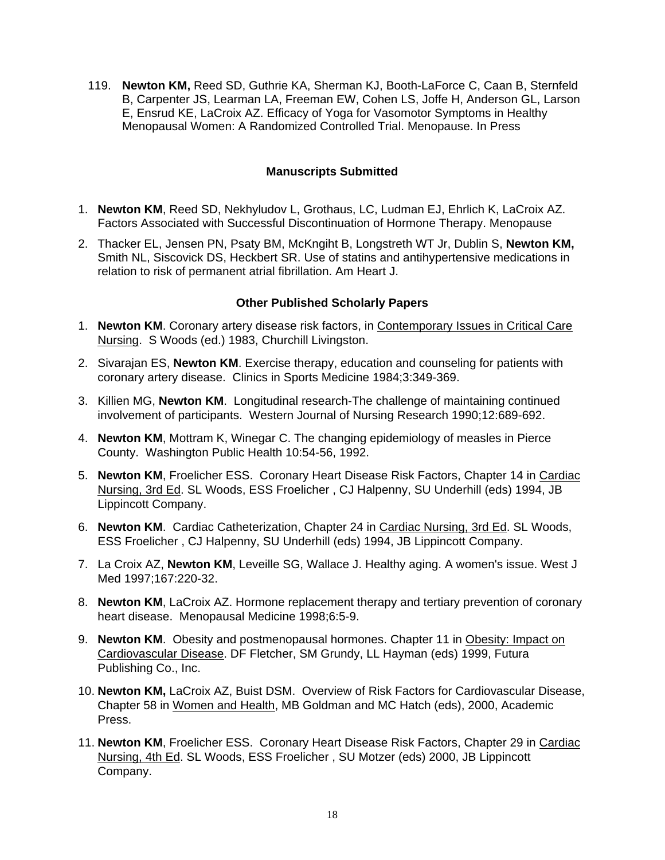119. **Newton KM,** Reed SD, Guthrie KA, Sherman KJ, Booth-LaForce C, Caan B, Sternfeld B, Carpenter JS, Learman LA, Freeman EW, Cohen LS, Joffe H, Anderson GL, Larson E, Ensrud KE, LaCroix AZ. Efficacy of Yoga for Vasomotor Symptoms in Healthy Menopausal Women: A Randomized Controlled Trial. Menopause. In Press

# **Manuscripts Submitted**

- 1. **Newton KM**, Reed SD, Nekhyludov L, Grothaus, LC, Ludman EJ, Ehrlich K, LaCroix AZ. Factors Associated with Successful Discontinuation of Hormone Therapy. Menopause
- 2. Thacker EL, Jensen PN, Psaty BM, McKngiht B, Longstreth WT Jr, Dublin S, **Newton KM,** Smith NL, Siscovick DS, Heckbert SR. Use of statins and antihypertensive medications in relation to risk of permanent atrial fibrillation. Am Heart J.

# **Other Published Scholarly Papers**

- 1. **Newton KM**. Coronary artery disease risk factors, in Contemporary Issues in Critical Care Nursing. S Woods (ed.) 1983, Churchill Livingston.
- 2. Sivarajan ES, **Newton KM**. Exercise therapy, education and counseling for patients with coronary artery disease. Clinics in Sports Medicine 1984;3:349-369.
- 3. Killien MG, **Newton KM**. Longitudinal research-The challenge of maintaining continued involvement of participants. Western Journal of Nursing Research 1990;12:689-692.
- 4. **Newton KM**, Mottram K, Winegar C. The changing epidemiology of measles in Pierce County. Washington Public Health 10:54-56, 1992.
- 5. **Newton KM**, Froelicher ESS. Coronary Heart Disease Risk Factors, Chapter 14 in Cardiac Nursing, 3rd Ed. SL Woods, ESS Froelicher , CJ Halpenny, SU Underhill (eds) 1994, JB Lippincott Company.
- 6. **Newton KM**. Cardiac Catheterization, Chapter 24 in Cardiac Nursing, 3rd Ed. SL Woods, ESS Froelicher , CJ Halpenny, SU Underhill (eds) 1994, JB Lippincott Company.
- 7. La Croix AZ, **Newton KM**, Leveille SG, Wallace J. Healthy aging. A women's issue. West J Med 1997;167:220-32.
- 8. **Newton KM**, LaCroix AZ. Hormone replacement therapy and tertiary prevention of coronary heart disease. Menopausal Medicine 1998;6:5-9.
- 9. **Newton KM**. Obesity and postmenopausal hormones. Chapter 11 in Obesity: Impact on Cardiovascular Disease. DF Fletcher, SM Grundy, LL Hayman (eds) 1999, Futura Publishing Co., Inc.
- 10. **Newton KM,** LaCroix AZ, Buist DSM. Overview of Risk Factors for Cardiovascular Disease, Chapter 58 in Women and Health, MB Goldman and MC Hatch (eds), 2000, Academic Press.
- 11. **Newton KM**, Froelicher ESS. Coronary Heart Disease Risk Factors, Chapter 29 in Cardiac Nursing, 4th Ed. SL Woods, ESS Froelicher , SU Motzer (eds) 2000, JB Lippincott Company.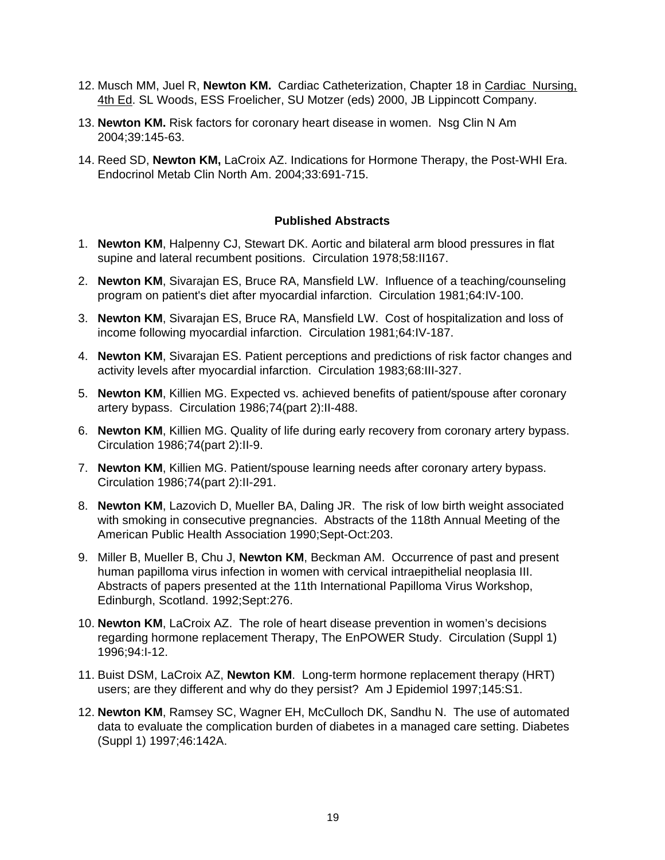- 12. Musch MM, Juel R, **Newton KM.** Cardiac Catheterization, Chapter 18 in Cardiac Nursing, 4th Ed. SL Woods, ESS Froelicher, SU Motzer (eds) 2000, JB Lippincott Company.
- 13. **Newton KM.** Risk factors for coronary heart disease in women. Nsg Clin N Am 2004;39:145-63.
- 14. Reed SD, **Newton KM,** LaCroix AZ. Indications for Hormone Therapy, the Post-WHI Era. Endocrinol Metab Clin North Am. 2004;33:691-715.

## **Published Abstracts**

- 1. **Newton KM**, Halpenny CJ, Stewart DK. Aortic and bilateral arm blood pressures in flat supine and lateral recumbent positions. Circulation 1978;58:II167.
- 2. **Newton KM**, Sivarajan ES, Bruce RA, Mansfield LW. Influence of a teaching/counseling program on patient's diet after myocardial infarction. Circulation 1981;64:IV-100.
- 3. **Newton KM**, Sivarajan ES, Bruce RA, Mansfield LW. Cost of hospitalization and loss of income following myocardial infarction. Circulation 1981;64:IV-187.
- 4. **Newton KM**, Sivarajan ES. Patient perceptions and predictions of risk factor changes and activity levels after myocardial infarction. Circulation 1983;68:III-327.
- 5. **Newton KM**, Killien MG. Expected vs. achieved benefits of patient/spouse after coronary artery bypass. Circulation 1986;74(part 2):II-488.
- 6. **Newton KM**, Killien MG. Quality of life during early recovery from coronary artery bypass. Circulation 1986;74(part 2):II-9.
- 7. **Newton KM**, Killien MG. Patient/spouse learning needs after coronary artery bypass. Circulation 1986;74(part 2):II-291.
- 8. **Newton KM**, Lazovich D, Mueller BA, Daling JR. The risk of low birth weight associated with smoking in consecutive pregnancies. Abstracts of the 118th Annual Meeting of the American Public Health Association 1990;Sept-Oct:203.
- 9. Miller B, Mueller B, Chu J, **Newton KM**, Beckman AM. Occurrence of past and present human papilloma virus infection in women with cervical intraepithelial neoplasia III. Abstracts of papers presented at the 11th International Papilloma Virus Workshop, Edinburgh, Scotland. 1992;Sept:276.
- 10. **Newton KM**, LaCroix AZ. The role of heart disease prevention in women's decisions regarding hormone replacement Therapy, The EnPOWER Study. Circulation (Suppl 1) 1996;94:I-12.
- 11. Buist DSM, LaCroix AZ, **Newton KM**. Long-term hormone replacement therapy (HRT) users; are they different and why do they persist? Am J Epidemiol 1997;145:S1.
- 12. **Newton KM**, Ramsey SC, Wagner EH, McCulloch DK, Sandhu N. The use of automated data to evaluate the complication burden of diabetes in a managed care setting. Diabetes (Suppl 1) 1997;46:142A.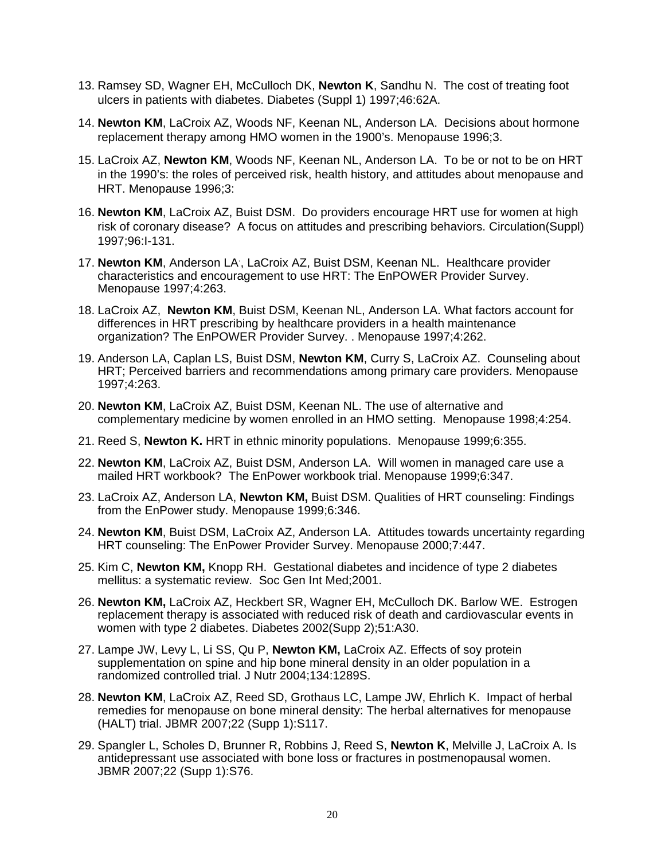- 13. Ramsey SD, Wagner EH, McCulloch DK, **Newton K**, Sandhu N. The cost of treating foot ulcers in patients with diabetes. Diabetes (Suppl 1) 1997;46:62A.
- 14. **Newton KM**, LaCroix AZ, Woods NF, Keenan NL, Anderson LA. Decisions about hormone replacement therapy among HMO women in the 1900's. Menopause 1996;3.
- 15. LaCroix AZ, **Newton KM**, Woods NF, Keenan NL, Anderson LA. To be or not to be on HRT in the 1990's: the roles of perceived risk, health history, and attitudes about menopause and HRT. Menopause 1996;3:
- 16. **Newton KM**, LaCroix AZ, Buist DSM. Do providers encourage HRT use for women at high risk of coronary disease? A focus on attitudes and prescribing behaviors. Circulation(Suppl) 1997;96:I-131.
- 17. Newton KM, Anderson LA, LaCroix AZ, Buist DSM, Keenan NL. Healthcare provider characteristics and encouragement to use HRT: The EnPOWER Provider Survey. Menopause 1997;4:263.
- 18. LaCroix AZ, **Newton KM**, Buist DSM, Keenan NL, Anderson LA. What factors account for differences in HRT prescribing by healthcare providers in a health maintenance organization? The EnPOWER Provider Survey. . Menopause 1997;4:262.
- 19. Anderson LA, Caplan LS, Buist DSM, **Newton KM**, Curry S, LaCroix AZ. Counseling about HRT; Perceived barriers and recommendations among primary care providers. Menopause 1997;4:263.
- 20. **Newton KM**, LaCroix AZ, Buist DSM, Keenan NL. The use of alternative and complementary medicine by women enrolled in an HMO setting. Menopause 1998;4:254.
- 21. Reed S, **Newton K.** HRT in ethnic minority populations. Menopause 1999;6:355.
- 22. **Newton KM**, LaCroix AZ, Buist DSM, Anderson LA. Will women in managed care use a mailed HRT workbook? The EnPower workbook trial. Menopause 1999;6:347.
- 23. LaCroix AZ, Anderson LA, **Newton KM,** Buist DSM. Qualities of HRT counseling: Findings from the EnPower study. Menopause 1999;6:346.
- 24. **Newton KM**, Buist DSM, LaCroix AZ, Anderson LA. Attitudes towards uncertainty regarding HRT counseling: The EnPower Provider Survey. Menopause 2000;7:447.
- 25. Kim C, **Newton KM,** Knopp RH.Gestational diabetes and incidence of type 2 diabetes mellitus: a systematic review. Soc Gen Int Med;2001.
- 26. **Newton KM,** LaCroix AZ, Heckbert SR, Wagner EH, McCulloch DK. Barlow WE. Estrogen replacement therapy is associated with reduced risk of death and cardiovascular events in women with type 2 diabetes. Diabetes 2002(Supp 2);51:A30.
- 27. Lampe JW, Levy L, Li SS, Qu P, **Newton KM,** LaCroix AZ. Effects of soy protein supplementation on spine and hip bone mineral density in an older population in a randomized controlled trial. J Nutr 2004;134:1289S.
- 28. **Newton KM**, LaCroix AZ, Reed SD, Grothaus LC, Lampe JW, Ehrlich K. Impact of herbal remedies for menopause on bone mineral density: The herbal alternatives for menopause (HALT) trial. JBMR 2007;22 (Supp 1):S117.
- 29. Spangler L, Scholes D, Brunner R, Robbins J, Reed S, **Newton K**, Melville J, LaCroix A. Is antidepressant use associated with bone loss or fractures in postmenopausal women. JBMR 2007;22 (Supp 1):S76.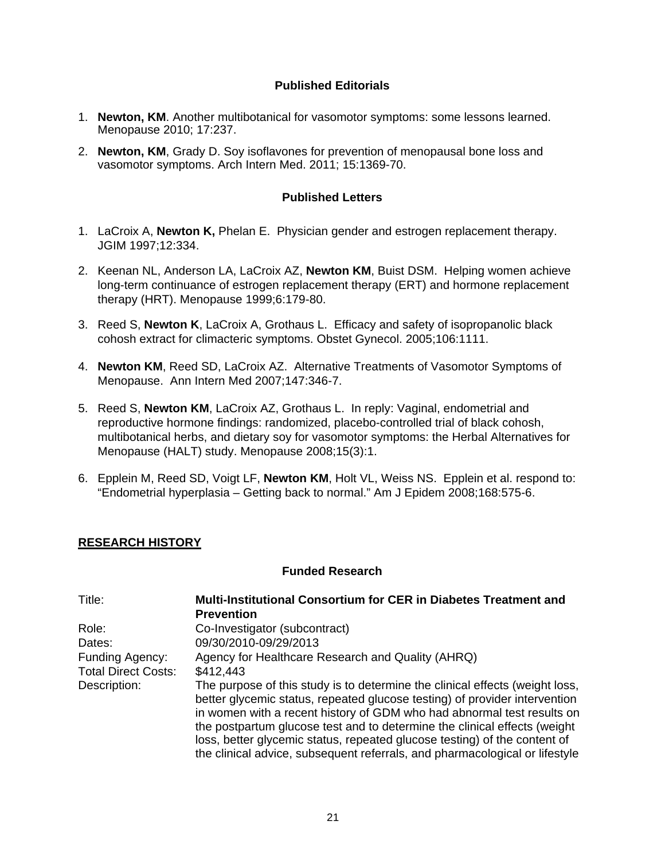# **Published Editorials**

- 1. **Newton, KM**. Another multibotanical for vasomotor symptoms: some lessons learned. Menopause 2010; 17:237.
- 2. **Newton, KM**, Grady D. Soy isoflavones for prevention of menopausal bone loss and vasomotor symptoms. Arch Intern Med. 2011; 15:1369-70.

## **Published Letters**

- 1. LaCroix A, **Newton K,** Phelan E. Physician gender and estrogen replacement therapy. JGIM 1997;12:334.
- 2. Keenan NL, Anderson LA, LaCroix AZ, **Newton KM**, Buist DSM. Helping women achieve long-term continuance of estrogen replacement therapy (ERT) and hormone replacement therapy (HRT). Menopause 1999;6:179-80.
- 3. Reed S, **Newton K**, LaCroix A, Grothaus L. Efficacy and safety of isopropanolic black cohosh extract for climacteric symptoms. Obstet Gynecol. 2005;106:1111.
- 4. **Newton KM**, Reed SD, LaCroix AZ. Alternative Treatments of Vasomotor Symptoms of Menopause. Ann Intern Med 2007;147:346-7.
- 5. Reed S, **Newton KM**, LaCroix AZ, Grothaus L. In reply: Vaginal, endometrial and reproductive hormone findings: randomized, placebo-controlled trial of black cohosh, multibotanical herbs, and dietary soy for vasomotor symptoms: the Herbal Alternatives for Menopause (HALT) study. Menopause 2008;15(3):1.
- 6. Epplein M, Reed SD, Voigt LF, **Newton KM**, Holt VL, Weiss NS. Epplein et al. respond to: "Endometrial hyperplasia – Getting back to normal." Am J Epidem 2008;168:575-6.

# **RESEARCH HISTORY**

#### **Funded Research**

| Title:                     | <b>Multi-Institutional Consortium for CER in Diabetes Treatment and</b><br><b>Prevention</b>                                                                                                                                                                                                                                                                                                                                                                                  |
|----------------------------|-------------------------------------------------------------------------------------------------------------------------------------------------------------------------------------------------------------------------------------------------------------------------------------------------------------------------------------------------------------------------------------------------------------------------------------------------------------------------------|
| Role:                      | Co-Investigator (subcontract)                                                                                                                                                                                                                                                                                                                                                                                                                                                 |
| Dates:                     | 09/30/2010-09/29/2013                                                                                                                                                                                                                                                                                                                                                                                                                                                         |
| Funding Agency:            | Agency for Healthcare Research and Quality (AHRQ)                                                                                                                                                                                                                                                                                                                                                                                                                             |
| <b>Total Direct Costs:</b> | \$412,443                                                                                                                                                                                                                                                                                                                                                                                                                                                                     |
| Description:               | The purpose of this study is to determine the clinical effects (weight loss,<br>better glycemic status, repeated glucose testing) of provider intervention<br>in women with a recent history of GDM who had abnormal test results on<br>the postpartum glucose test and to determine the clinical effects (weight<br>loss, better glycemic status, repeated glucose testing) of the content of<br>the clinical advice, subsequent referrals, and pharmacological or lifestyle |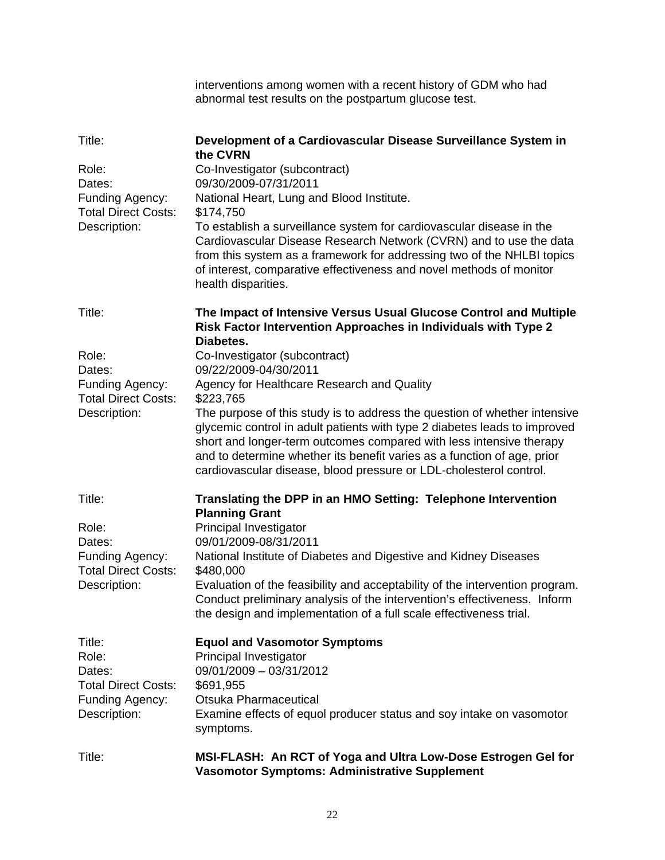|                                               | interventions among women with a recent history of GDM who had<br>abnormal test results on the postpartum glucose test.                                                                                                                                                                                                                                                        |
|-----------------------------------------------|--------------------------------------------------------------------------------------------------------------------------------------------------------------------------------------------------------------------------------------------------------------------------------------------------------------------------------------------------------------------------------|
| Title:                                        | Development of a Cardiovascular Disease Surveillance System in<br>the CVRN                                                                                                                                                                                                                                                                                                     |
| Role:<br>Dates:                               | Co-Investigator (subcontract)<br>09/30/2009-07/31/2011                                                                                                                                                                                                                                                                                                                         |
| Funding Agency:<br><b>Total Direct Costs:</b> | National Heart, Lung and Blood Institute.<br>\$174,750                                                                                                                                                                                                                                                                                                                         |
| Description:                                  | To establish a surveillance system for cardiovascular disease in the<br>Cardiovascular Disease Research Network (CVRN) and to use the data<br>from this system as a framework for addressing two of the NHLBI topics<br>of interest, comparative effectiveness and novel methods of monitor<br>health disparities.                                                             |
| Title:                                        | The Impact of Intensive Versus Usual Glucose Control and Multiple<br>Risk Factor Intervention Approaches in Individuals with Type 2<br>Diabetes.                                                                                                                                                                                                                               |
| Role:                                         | Co-Investigator (subcontract)                                                                                                                                                                                                                                                                                                                                                  |
| Dates:                                        | 09/22/2009-04/30/2011                                                                                                                                                                                                                                                                                                                                                          |
| Funding Agency:                               | Agency for Healthcare Research and Quality                                                                                                                                                                                                                                                                                                                                     |
| <b>Total Direct Costs:</b>                    | \$223,765                                                                                                                                                                                                                                                                                                                                                                      |
| Description:                                  | The purpose of this study is to address the question of whether intensive<br>glycemic control in adult patients with type 2 diabetes leads to improved<br>short and longer-term outcomes compared with less intensive therapy<br>and to determine whether its benefit varies as a function of age, prior<br>cardiovascular disease, blood pressure or LDL-cholesterol control. |
| Title:                                        | Translating the DPP in an HMO Setting: Telephone Intervention<br><b>Planning Grant</b>                                                                                                                                                                                                                                                                                         |
| Role:                                         | Principal Investigator                                                                                                                                                                                                                                                                                                                                                         |
| Dates:                                        | 09/01/2009-08/31/2011                                                                                                                                                                                                                                                                                                                                                          |
| Funding Agency:<br><b>Total Direct Costs:</b> | National Institute of Diabetes and Digestive and Kidney Diseases<br>\$480,000                                                                                                                                                                                                                                                                                                  |
| Description:                                  | Evaluation of the feasibility and acceptability of the intervention program.<br>Conduct preliminary analysis of the intervention's effectiveness. Inform<br>the design and implementation of a full scale effectiveness trial.                                                                                                                                                 |
| Title:<br>Role:                               | <b>Equol and Vasomotor Symptoms</b><br>Principal Investigator                                                                                                                                                                                                                                                                                                                  |
| Dates:                                        | 09/01/2009 - 03/31/2012                                                                                                                                                                                                                                                                                                                                                        |
| <b>Total Direct Costs:</b>                    | \$691,955                                                                                                                                                                                                                                                                                                                                                                      |
| Funding Agency:                               | <b>Otsuka Pharmaceutical</b>                                                                                                                                                                                                                                                                                                                                                   |
| Description:                                  | Examine effects of equol producer status and soy intake on vasomotor<br>symptoms.                                                                                                                                                                                                                                                                                              |
| Title:                                        | MSI-FLASH: An RCT of Yoga and Ultra Low-Dose Estrogen Gel for                                                                                                                                                                                                                                                                                                                  |

**Vasomotor Symptoms: Administrative Supplement**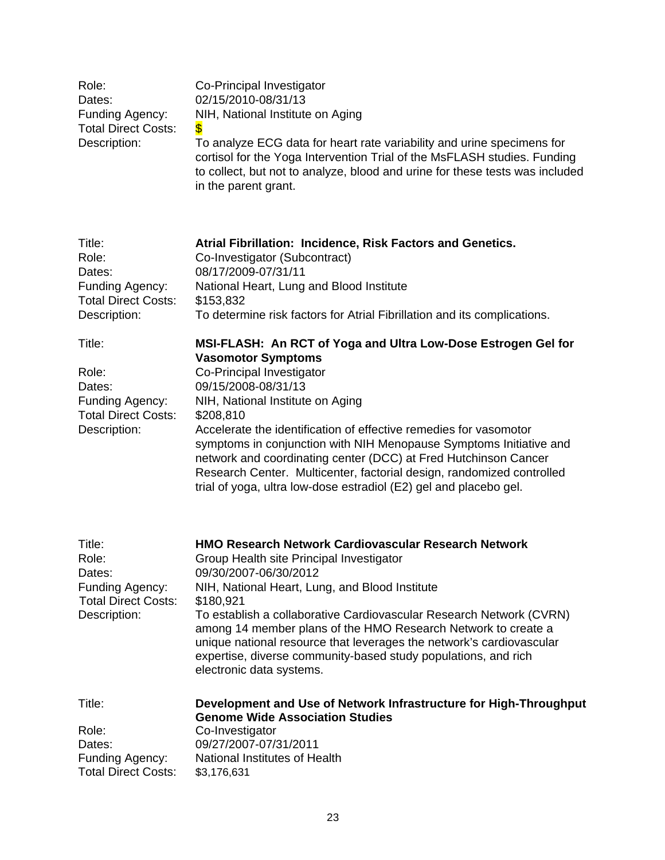| Role:<br>Dates:<br>Funding Agency:<br><b>Total Direct Costs:</b><br>Description: | Co-Principal Investigator<br>02/15/2010-08/31/13<br>NIH, National Institute on Aging<br>To analyze ECG data for heart rate variability and urine specimens for<br>cortisol for the Yoga Intervention Trial of the MsFLASH studies. Funding<br>to collect, but not to analyze, blood and urine for these tests was included<br>in the parent grant. |
|----------------------------------------------------------------------------------|----------------------------------------------------------------------------------------------------------------------------------------------------------------------------------------------------------------------------------------------------------------------------------------------------------------------------------------------------|
| Title:                                                                           | Atrial Fibrillation: Incidence, Risk Factors and Genetics.                                                                                                                                                                                                                                                                                         |
| <b>D.L.</b>                                                                      | $\Omega$ . Lease of each set $\Omega$ the set for $\Omega$                                                                                                                                                                                                                                                                                         |

| TIUC.<br>Role:<br>Dates:<br>Funding Agency:<br><b>Total Direct Costs:</b><br>Description:  | Attial Fibriliation. Includities, KISK Factors and Genetics.<br>Co-Investigator (Subcontract)<br>08/17/2009-07/31/11<br>National Heart, Lung and Blood Institute<br>\$153,832<br>To determine risk factors for Atrial Fibrillation and its complications.                                                                                                                                                                                                                                                                                                   |
|--------------------------------------------------------------------------------------------|-------------------------------------------------------------------------------------------------------------------------------------------------------------------------------------------------------------------------------------------------------------------------------------------------------------------------------------------------------------------------------------------------------------------------------------------------------------------------------------------------------------------------------------------------------------|
| Title:<br>Role:<br>Dates:<br>Funding Agency:<br><b>Total Direct Costs:</b><br>Description: | MSI-FLASH: An RCT of Yoga and Ultra Low-Dose Estrogen Gel for<br><b>Vasomotor Symptoms</b><br>Co-Principal Investigator<br>09/15/2008-08/31/13<br>NIH, National Institute on Aging<br>\$208,810<br>Accelerate the identification of effective remedies for vasomotor<br>symptoms in conjunction with NIH Menopause Symptoms Initiative and<br>network and coordinating center (DCC) at Fred Hutchinson Cancer<br>Research Center. Multicenter, factorial design, randomized controlled<br>trial of yoga, ultra low-dose estradiol (E2) gel and placebo gel. |
| Title:<br>Role:<br>Dates:<br>Funding Agency:<br><b>Total Direct Costs:</b><br>Description: | <b>HMO Research Network Cardiovascular Research Network</b><br>Group Health site Principal Investigator<br>09/30/2007-06/30/2012<br>NIH, National Heart, Lung, and Blood Institute<br>\$180,921<br>To establish a collaborative Cardiovascular Research Network (CVRN)<br>among 14 member plans of the HMO Research Network to create a<br>unique national resource that leverages the network's cardiovascular<br>expertise, diverse community-based study populations, and rich<br>electronic data systems.                                               |
| Title:<br>Role:<br>Dates:<br>Funding Agency:<br><b>Total Direct Costs:</b>                 | Development and Use of Network Infrastructure for High-Throughput<br><b>Genome Wide Association Studies</b><br>Co-Investigator<br>09/27/2007-07/31/2011<br>National Institutes of Health<br>\$3,176,631                                                                                                                                                                                                                                                                                                                                                     |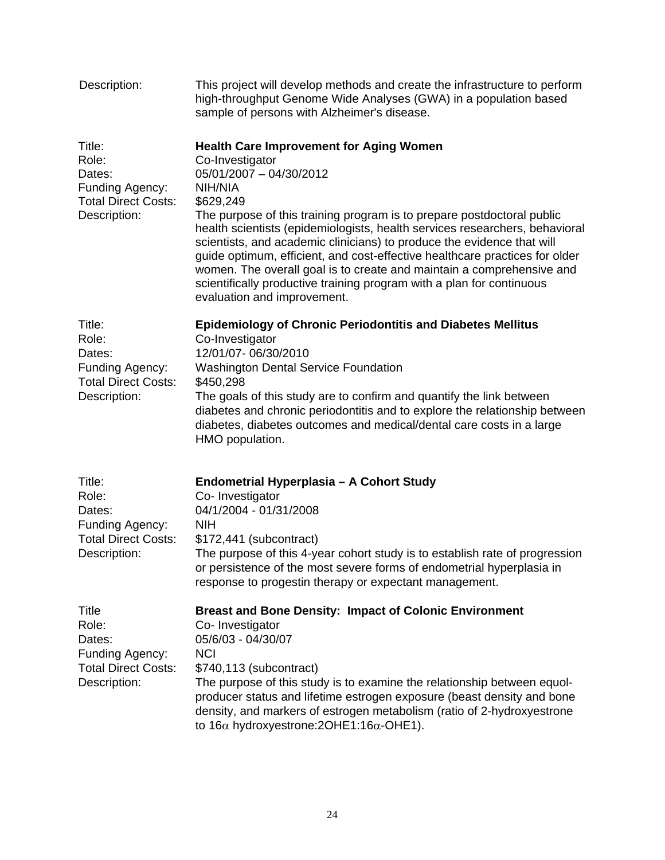| Description:                                                                                     | This project will develop methods and create the infrastructure to perform<br>high-throughput Genome Wide Analyses (GWA) in a population based<br>sample of persons with Alzheimer's disease.                                                                                                                                                                                                                                                                                                                                                                                                                           |
|--------------------------------------------------------------------------------------------------|-------------------------------------------------------------------------------------------------------------------------------------------------------------------------------------------------------------------------------------------------------------------------------------------------------------------------------------------------------------------------------------------------------------------------------------------------------------------------------------------------------------------------------------------------------------------------------------------------------------------------|
| Title:<br>Role:<br>Dates:<br>Funding Agency:<br><b>Total Direct Costs:</b><br>Description:       | <b>Health Care Improvement for Aging Women</b><br>Co-Investigator<br>05/01/2007 - 04/30/2012<br>NIH/NIA<br>\$629,249<br>The purpose of this training program is to prepare postdoctoral public<br>health scientists (epidemiologists, health services researchers, behavioral<br>scientists, and academic clinicians) to produce the evidence that will<br>guide optimum, efficient, and cost-effective healthcare practices for older<br>women. The overall goal is to create and maintain a comprehensive and<br>scientifically productive training program with a plan for continuous<br>evaluation and improvement. |
| Title:<br>Role:<br>Dates:<br>Funding Agency:<br><b>Total Direct Costs:</b><br>Description:       | <b>Epidemiology of Chronic Periodontitis and Diabetes Mellitus</b><br>Co-Investigator<br>12/01/07-06/30/2010<br><b>Washington Dental Service Foundation</b><br>\$450,298<br>The goals of this study are to confirm and quantify the link between<br>diabetes and chronic periodontitis and to explore the relationship between<br>diabetes, diabetes outcomes and medical/dental care costs in a large<br>HMO population.                                                                                                                                                                                               |
| Title:<br>Role:<br>Dates:<br>Funding Agency:<br><b>Total Direct Costs:</b><br>Description:       | Endometrial Hyperplasia - A Cohort Study<br>Co- Investigator<br>04/1/2004 - 01/31/2008<br><b>NIH</b><br>\$172,441 (subcontract)<br>The purpose of this 4-year cohort study is to establish rate of progression<br>or persistence of the most severe forms of endometrial hyperplasia in<br>response to progestin therapy or expectant management.                                                                                                                                                                                                                                                                       |
| <b>Title</b><br>Role:<br>Dates:<br>Funding Agency:<br><b>Total Direct Costs:</b><br>Description: | <b>Breast and Bone Density: Impact of Colonic Environment</b><br>Co- Investigator<br>05/6/03 - 04/30/07<br><b>NCI</b><br>\$740,113 (subcontract)<br>The purpose of this study is to examine the relationship between equol-<br>producer status and lifetime estrogen exposure (beast density and bone<br>density, and markers of estrogen metabolism (ratio of 2-hydroxyestrone<br>to $16\alpha$ hydroxyestrone: $2OHE1:16\alpha$ -OHE1).                                                                                                                                                                               |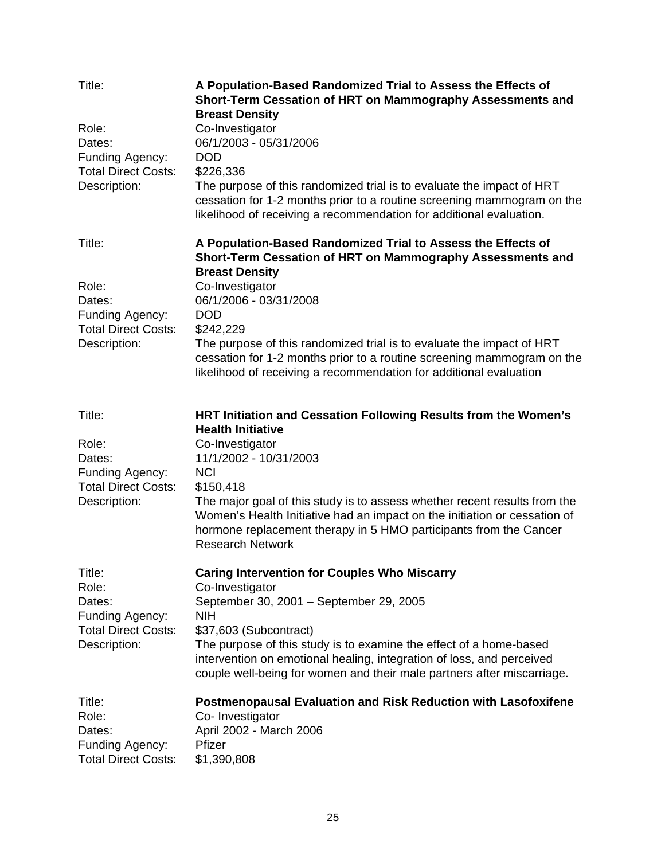| Title:<br>Role:<br>Dates:<br>Funding Agency:<br><b>Total Direct Costs:</b><br>Description: | A Population-Based Randomized Trial to Assess the Effects of<br>Short-Term Cessation of HRT on Mammography Assessments and<br><b>Breast Density</b><br>Co-Investigator<br>06/1/2003 - 05/31/2006<br><b>DOD</b><br>\$226,336<br>The purpose of this randomized trial is to evaluate the impact of HRT<br>cessation for 1-2 months prior to a routine screening mammogram on the<br>likelihood of receiving a recommendation for additional evaluation. |
|--------------------------------------------------------------------------------------------|-------------------------------------------------------------------------------------------------------------------------------------------------------------------------------------------------------------------------------------------------------------------------------------------------------------------------------------------------------------------------------------------------------------------------------------------------------|
| Title:                                                                                     | A Population-Based Randomized Trial to Assess the Effects of<br>Short-Term Cessation of HRT on Mammography Assessments and                                                                                                                                                                                                                                                                                                                            |
| Role:<br>Dates:<br>Funding Agency:<br><b>Total Direct Costs:</b><br>Description:           | <b>Breast Density</b><br>Co-Investigator<br>06/1/2006 - 03/31/2008<br><b>DOD</b><br>\$242,229<br>The purpose of this randomized trial is to evaluate the impact of HRT<br>cessation for 1-2 months prior to a routine screening mammogram on the<br>likelihood of receiving a recommendation for additional evaluation                                                                                                                                |
| Title:                                                                                     | HRT Initiation and Cessation Following Results from the Women's<br><b>Health Initiative</b>                                                                                                                                                                                                                                                                                                                                                           |
| Role:<br>Dates:<br>Funding Agency:<br><b>Total Direct Costs:</b><br>Description:           | Co-Investigator<br>11/1/2002 - 10/31/2003<br><b>NCI</b><br>\$150,418<br>The major goal of this study is to assess whether recent results from the                                                                                                                                                                                                                                                                                                     |
|                                                                                            | Women's Health Initiative had an impact on the initiation or cessation of<br>hormone replacement therapy in 5 HMO participants from the Cancer<br><b>Research Network</b>                                                                                                                                                                                                                                                                             |
| Title:<br>Role:<br>Dates:<br>Funding Agency:<br><b>Total Direct Costs:</b><br>Description: | <b>Caring Intervention for Couples Who Miscarry</b><br>Co-Investigator<br>September 30, 2001 - September 29, 2005<br><b>NIH</b><br>\$37,603 (Subcontract)<br>The purpose of this study is to examine the effect of a home-based<br>intervention on emotional healing, integration of loss, and perceived<br>couple well-being for women and their male partners after miscarriage.                                                                    |
| Title:<br>Role:<br>Dates:<br>Funding Agency:<br><b>Total Direct Costs:</b>                 | <b>Postmenopausal Evaluation and Risk Reduction with Lasofoxifene</b><br>Co- Investigator<br>April 2002 - March 2006<br>Pfizer<br>\$1,390,808                                                                                                                                                                                                                                                                                                         |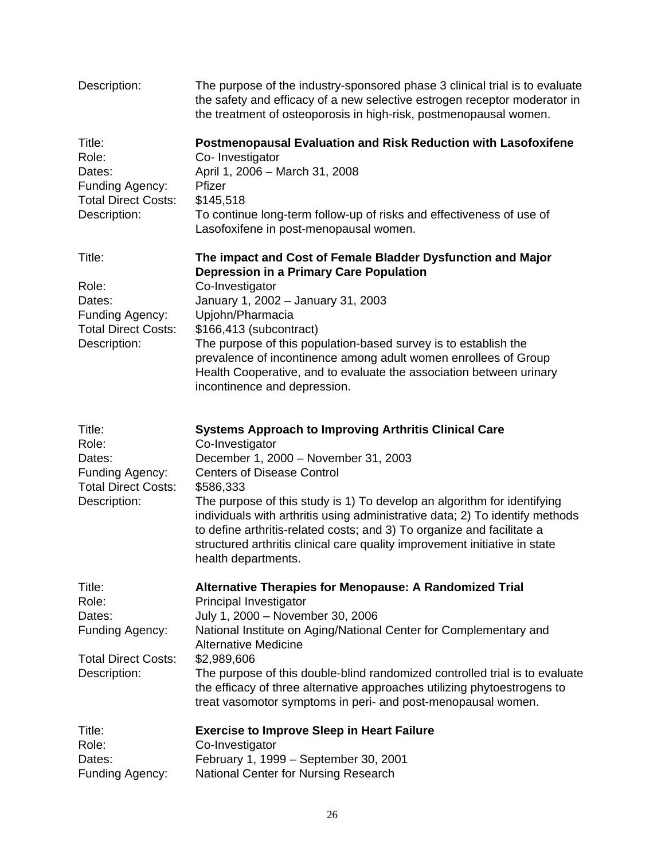| Description:                                                                               | The purpose of the industry-sponsored phase 3 clinical trial is to evaluate<br>the safety and efficacy of a new selective estrogen receptor moderator in<br>the treatment of osteoporosis in high-risk, postmenopausal women.                                                                                                                                                                                                                                                                                       |
|--------------------------------------------------------------------------------------------|---------------------------------------------------------------------------------------------------------------------------------------------------------------------------------------------------------------------------------------------------------------------------------------------------------------------------------------------------------------------------------------------------------------------------------------------------------------------------------------------------------------------|
| Title:<br>Role:<br>Dates:<br>Funding Agency:<br><b>Total Direct Costs:</b><br>Description: | Postmenopausal Evaluation and Risk Reduction with Lasofoxifene<br>Co- Investigator<br>April 1, 2006 - March 31, 2008<br>Pfizer<br>\$145,518<br>To continue long-term follow-up of risks and effectiveness of use of<br>Lasofoxifene in post-menopausal women.                                                                                                                                                                                                                                                       |
| Title:<br>Role:<br>Dates:<br>Funding Agency:<br><b>Total Direct Costs:</b><br>Description: | The impact and Cost of Female Bladder Dysfunction and Major<br><b>Depression in a Primary Care Population</b><br>Co-Investigator<br>January 1, 2002 - January 31, 2003<br>Upjohn/Pharmacia<br>\$166,413 (subcontract)<br>The purpose of this population-based survey is to establish the<br>prevalence of incontinence among adult women enrollees of Group<br>Health Cooperative, and to evaluate the association between urinary<br>incontinence and depression.                                                  |
| Title:<br>Role:<br>Dates:<br>Funding Agency:<br><b>Total Direct Costs:</b><br>Description: | <b>Systems Approach to Improving Arthritis Clinical Care</b><br>Co-Investigator<br>December 1, 2000 - November 31, 2003<br><b>Centers of Disease Control</b><br>\$586,333<br>The purpose of this study is 1) To develop an algorithm for identifying<br>individuals with arthritis using administrative data; 2) To identify methods<br>to define arthritis-related costs; and 3) To organize and facilitate a<br>structured arthritis clinical care quality improvement initiative in state<br>health departments. |
| Title:<br>Role:<br>Dates:<br>Funding Agency:<br><b>Total Direct Costs:</b><br>Description: | Alternative Therapies for Menopause: A Randomized Trial<br>Principal Investigator<br>July 1, 2000 - November 30, 2006<br>National Institute on Aging/National Center for Complementary and<br><b>Alternative Medicine</b><br>\$2,989,606<br>The purpose of this double-blind randomized controlled trial is to evaluate<br>the efficacy of three alternative approaches utilizing phytoestrogens to<br>treat vasomotor symptoms in peri- and post-menopausal women.                                                 |
| Title:<br>Role:<br>Dates:<br>Funding Agency:                                               | <b>Exercise to Improve Sleep in Heart Failure</b><br>Co-Investigator<br>February 1, 1999 - September 30, 2001<br>National Center for Nursing Research                                                                                                                                                                                                                                                                                                                                                               |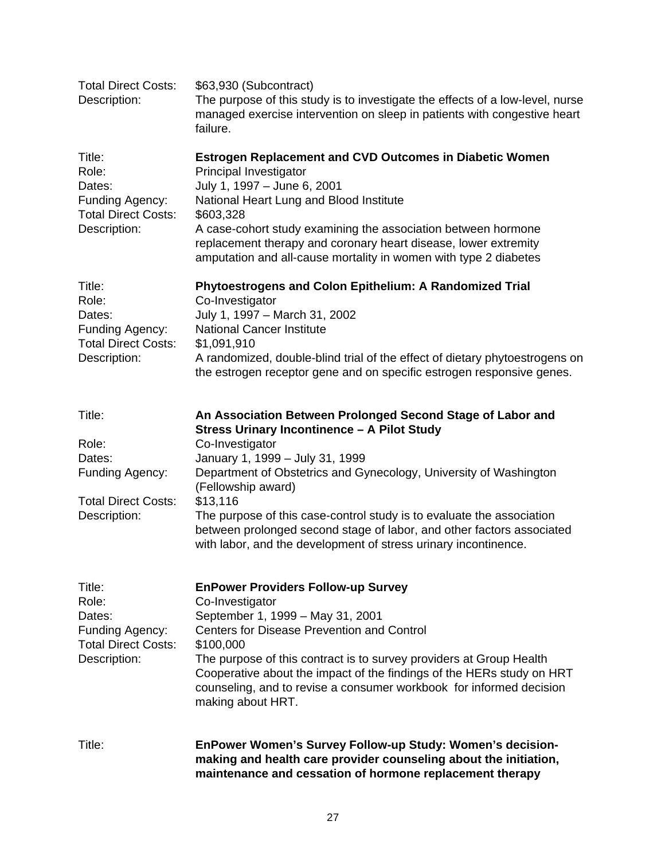| <b>Total Direct Costs:</b><br>Description:                                                 | \$63,930 (Subcontract)<br>The purpose of this study is to investigate the effects of a low-level, nurse<br>managed exercise intervention on sleep in patients with congestive heart<br>failure.                                                                                                                                                                                                                                                                                             |
|--------------------------------------------------------------------------------------------|---------------------------------------------------------------------------------------------------------------------------------------------------------------------------------------------------------------------------------------------------------------------------------------------------------------------------------------------------------------------------------------------------------------------------------------------------------------------------------------------|
| Title:<br>Role:<br>Dates:<br>Funding Agency:<br><b>Total Direct Costs:</b><br>Description: | <b>Estrogen Replacement and CVD Outcomes in Diabetic Women</b><br>Principal Investigator<br>July 1, 1997 - June 6, 2001<br>National Heart Lung and Blood Institute<br>\$603,328<br>A case-cohort study examining the association between hormone<br>replacement therapy and coronary heart disease, lower extremity<br>amputation and all-cause mortality in women with type 2 diabetes                                                                                                     |
| Title:<br>Role:<br>Dates:<br>Funding Agency:<br><b>Total Direct Costs:</b><br>Description: | Phytoestrogens and Colon Epithelium: A Randomized Trial<br>Co-Investigator<br>July 1, 1997 - March 31, 2002<br><b>National Cancer Institute</b><br>\$1,091,910<br>A randomized, double-blind trial of the effect of dietary phytoestrogens on<br>the estrogen receptor gene and on specific estrogen responsive genes.                                                                                                                                                                      |
| Title:<br>Role:<br>Dates:<br>Funding Agency:<br><b>Total Direct Costs:</b><br>Description: | An Association Between Prolonged Second Stage of Labor and<br>Stress Urinary Incontinence - A Pilot Study<br>Co-Investigator<br>January 1, 1999 - July 31, 1999<br>Department of Obstetrics and Gynecology, University of Washington<br>(Fellowship award)<br>\$13,116<br>The purpose of this case-control study is to evaluate the association<br>between prolonged second stage of labor, and other factors associated<br>with labor, and the development of stress urinary incontinence. |
| Title:<br>Role:<br>Dates:<br>Funding Agency:<br><b>Total Direct Costs:</b><br>Description: | <b>EnPower Providers Follow-up Survey</b><br>Co-Investigator<br>September 1, 1999 - May 31, 2001<br><b>Centers for Disease Prevention and Control</b><br>\$100,000<br>The purpose of this contract is to survey providers at Group Health<br>Cooperative about the impact of the findings of the HERs study on HRT<br>counseling, and to revise a consumer workbook for informed decision<br>making about HRT.                                                                              |
| Title:                                                                                     | EnPower Women's Survey Follow-up Study: Women's decision-<br>making and health care provider counseling about the initiation,<br>maintenance and cessation of hormone replacement therapy                                                                                                                                                                                                                                                                                                   |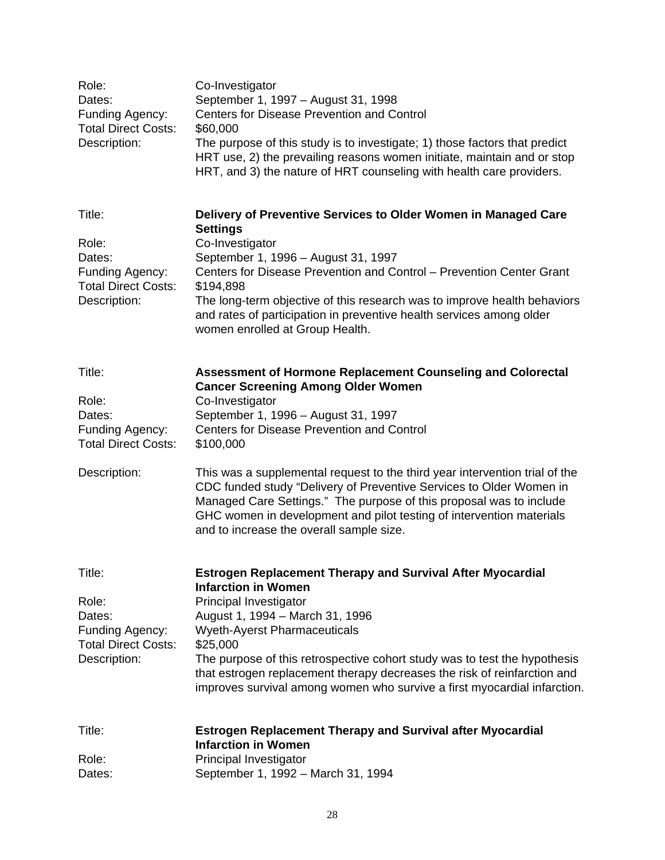| Title:<br>Role:<br>Dates:                                                                  | <b>Estrogen Replacement Therapy and Survival after Myocardial</b><br><b>Infarction in Women</b><br>Principal Investigator<br>September 1, 1992 - March 31, 1994                                                                                                                                                                                                                                                                                      |
|--------------------------------------------------------------------------------------------|------------------------------------------------------------------------------------------------------------------------------------------------------------------------------------------------------------------------------------------------------------------------------------------------------------------------------------------------------------------------------------------------------------------------------------------------------|
| Title:<br>Role:<br>Dates:<br>Funding Agency:<br><b>Total Direct Costs:</b><br>Description: | <b>Estrogen Replacement Therapy and Survival After Myocardial</b><br><b>Infarction in Women</b><br>Principal Investigator<br>August 1, 1994 - March 31, 1996<br><b>Wyeth-Ayerst Pharmaceuticals</b><br>\$25,000<br>The purpose of this retrospective cohort study was to test the hypothesis<br>that estrogen replacement therapy decreases the risk of reinfarction and<br>improves survival among women who survive a first myocardial infarction. |
| Description:                                                                               | This was a supplemental request to the third year intervention trial of the<br>CDC funded study "Delivery of Preventive Services to Older Women in<br>Managed Care Settings." The purpose of this proposal was to include<br>GHC women in development and pilot testing of intervention materials<br>and to increase the overall sample size.                                                                                                        |
| Title:<br>Role:<br>Dates:<br>Funding Agency:<br><b>Total Direct Costs:</b>                 | <b>Assessment of Hormone Replacement Counseling and Colorectal</b><br><b>Cancer Screening Among Older Women</b><br>Co-Investigator<br>September 1, 1996 - August 31, 1997<br><b>Centers for Disease Prevention and Control</b><br>\$100,000                                                                                                                                                                                                          |
| Title:<br>Role:<br>Dates:<br>Funding Agency:<br><b>Total Direct Costs:</b><br>Description: | Delivery of Preventive Services to Older Women in Managed Care<br><b>Settings</b><br>Co-Investigator<br>September 1, 1996 - August 31, 1997<br>Centers for Disease Prevention and Control - Prevention Center Grant<br>\$194,898<br>The long-term objective of this research was to improve health behaviors<br>and rates of participation in preventive health services among older<br>women enrolled at Group Health.                              |
| Role:<br>Dates:<br>Funding Agency:<br><b>Total Direct Costs:</b><br>Description:           | Co-Investigator<br>September 1, 1997 - August 31, 1998<br><b>Centers for Disease Prevention and Control</b><br>\$60,000<br>The purpose of this study is to investigate; 1) those factors that predict<br>HRT use, 2) the prevailing reasons women initiate, maintain and or stop<br>HRT, and 3) the nature of HRT counseling with health care providers.                                                                                             |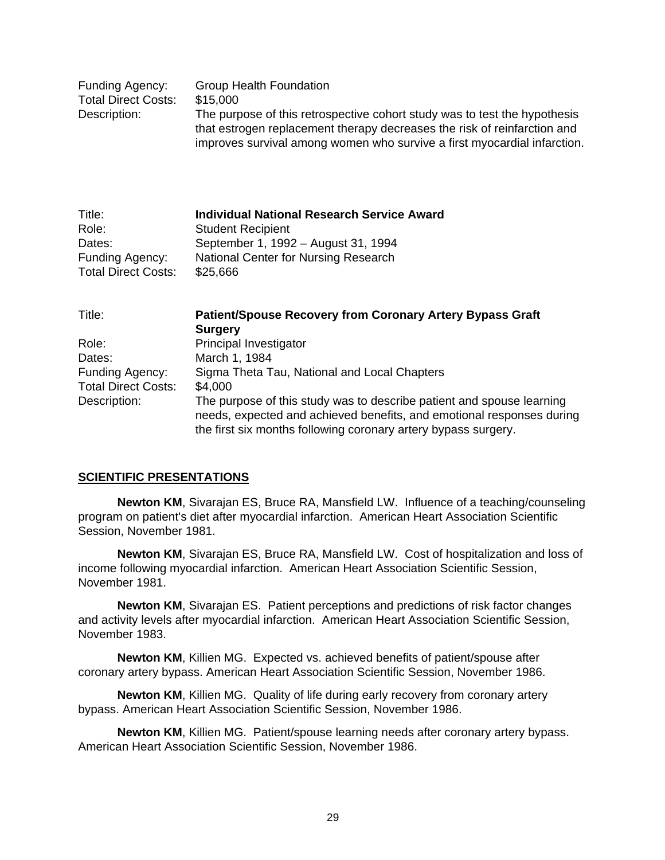| <b>Funding Agency:</b>     | <b>Group Health Foundation</b>                                            |
|----------------------------|---------------------------------------------------------------------------|
| <b>Total Direct Costs:</b> | \$15,000                                                                  |
| Description:               | The purpose of this retrospective cohort study was to test the hypothesis |
|                            | that estrogen replacement therapy decreases the risk of reinfarction and  |
|                            | improves survival among women who survive a first myocardial infarction.  |

| Title:                     | <b>Individual National Research Service Award</b> |
|----------------------------|---------------------------------------------------|
| Role:                      | <b>Student Recipient</b>                          |
| Dates:                     | September 1, 1992 – August 31, 1994               |
| Funding Agency:            | National Center for Nursing Research              |
| <b>Total Direct Costs:</b> | \$25,666                                          |

| Title:                     | <b>Patient/Spouse Recovery from Coronary Artery Bypass Graft</b>                                                                                                                                                 |  |
|----------------------------|------------------------------------------------------------------------------------------------------------------------------------------------------------------------------------------------------------------|--|
|                            | <b>Surgery</b>                                                                                                                                                                                                   |  |
| Role:                      | <b>Principal Investigator</b>                                                                                                                                                                                    |  |
| Dates:                     | March 1, 1984                                                                                                                                                                                                    |  |
| Funding Agency:            | Sigma Theta Tau, National and Local Chapters                                                                                                                                                                     |  |
| <b>Total Direct Costs:</b> | \$4,000                                                                                                                                                                                                          |  |
| Description:               | The purpose of this study was to describe patient and spouse learning<br>needs, expected and achieved benefits, and emotional responses during<br>the first six months following coronary artery bypass surgery. |  |

# **SCIENTIFIC PRESENTATIONS**

**Newton KM**, Sivarajan ES, Bruce RA, Mansfield LW. Influence of a teaching/counseling program on patient's diet after myocardial infarction. American Heart Association Scientific Session, November 1981.

**Newton KM**, Sivarajan ES, Bruce RA, Mansfield LW. Cost of hospitalization and loss of income following myocardial infarction. American Heart Association Scientific Session, November 1981.

**Newton KM**, Sivarajan ES. Patient perceptions and predictions of risk factor changes and activity levels after myocardial infarction. American Heart Association Scientific Session, November 1983.

**Newton KM**, Killien MG. Expected vs. achieved benefits of patient/spouse after coronary artery bypass. American Heart Association Scientific Session, November 1986.

**Newton KM**, Killien MG. Quality of life during early recovery from coronary artery bypass. American Heart Association Scientific Session, November 1986.

**Newton KM**, Killien MG. Patient/spouse learning needs after coronary artery bypass. American Heart Association Scientific Session, November 1986.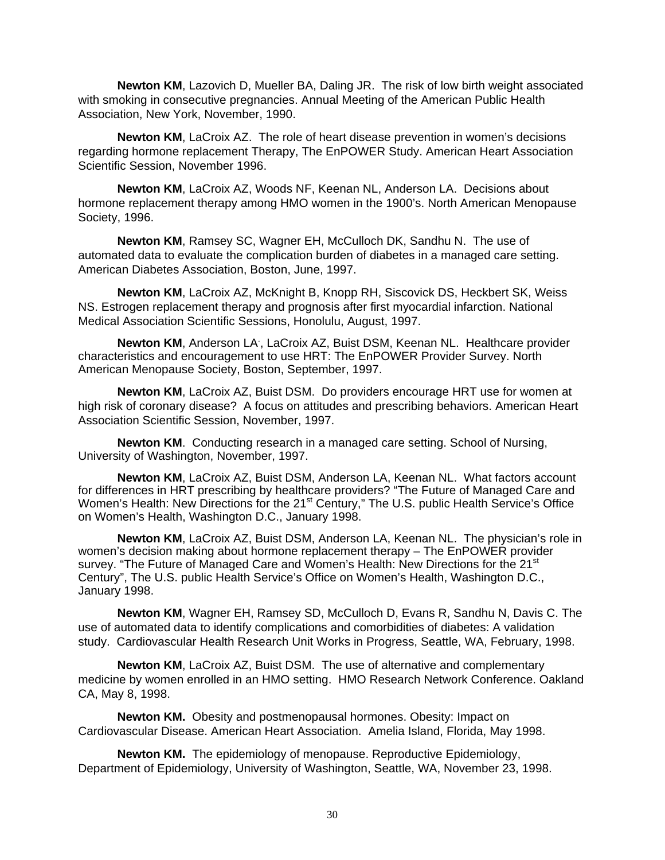**Newton KM**, Lazovich D, Mueller BA, Daling JR. The risk of low birth weight associated with smoking in consecutive pregnancies. Annual Meeting of the American Public Health Association, New York, November, 1990.

**Newton KM**, LaCroix AZ. The role of heart disease prevention in women's decisions regarding hormone replacement Therapy, The EnPOWER Study. American Heart Association Scientific Session, November 1996.

**Newton KM**, LaCroix AZ, Woods NF, Keenan NL, Anderson LA. Decisions about hormone replacement therapy among HMO women in the 1900's. North American Menopause Society, 1996.

**Newton KM**, Ramsey SC, Wagner EH, McCulloch DK, Sandhu N. The use of automated data to evaluate the complication burden of diabetes in a managed care setting. American Diabetes Association, Boston, June, 1997.

**Newton KM**, LaCroix AZ, McKnight B, Knopp RH, Siscovick DS, Heckbert SK, Weiss NS. Estrogen replacement therapy and prognosis after first myocardial infarction. National Medical Association Scientific Sessions, Honolulu, August, 1997.

Newton KM, Anderson LA, LaCroix AZ, Buist DSM, Keenan NL. Healthcare provider characteristics and encouragement to use HRT: The EnPOWER Provider Survey. North American Menopause Society, Boston, September, 1997.

**Newton KM**, LaCroix AZ, Buist DSM. Do providers encourage HRT use for women at high risk of coronary disease? A focus on attitudes and prescribing behaviors. American Heart Association Scientific Session, November, 1997.

**Newton KM**. Conducting research in a managed care setting. School of Nursing, University of Washington, November, 1997.

**Newton KM**, LaCroix AZ, Buist DSM, Anderson LA, Keenan NL. What factors account for differences in HRT prescribing by healthcare providers? "The Future of Managed Care and Women's Health: New Directions for the 21<sup>st</sup> Century," The U.S. public Health Service's Office on Women's Health, Washington D.C., January 1998.

**Newton KM**, LaCroix AZ, Buist DSM, Anderson LA, Keenan NL. The physician's role in women's decision making about hormone replacement therapy – The EnPOWER provider survey. "The Future of Managed Care and Women's Health: New Directions for the 21<sup>st</sup> Century", The U.S. public Health Service's Office on Women's Health, Washington D.C., January 1998.

**Newton KM**, Wagner EH, Ramsey SD, McCulloch D, Evans R, Sandhu N, Davis C. The use of automated data to identify complications and comorbidities of diabetes: A validation study. Cardiovascular Health Research Unit Works in Progress, Seattle, WA, February, 1998.

**Newton KM**, LaCroix AZ, Buist DSM. The use of alternative and complementary medicine by women enrolled in an HMO setting. HMO Research Network Conference. Oakland CA, May 8, 1998.

**Newton KM.** Obesity and postmenopausal hormones. Obesity: Impact on Cardiovascular Disease. American Heart Association. Amelia Island, Florida, May 1998.

**Newton KM.** The epidemiology of menopause. Reproductive Epidemiology, Department of Epidemiology, University of Washington, Seattle, WA, November 23, 1998.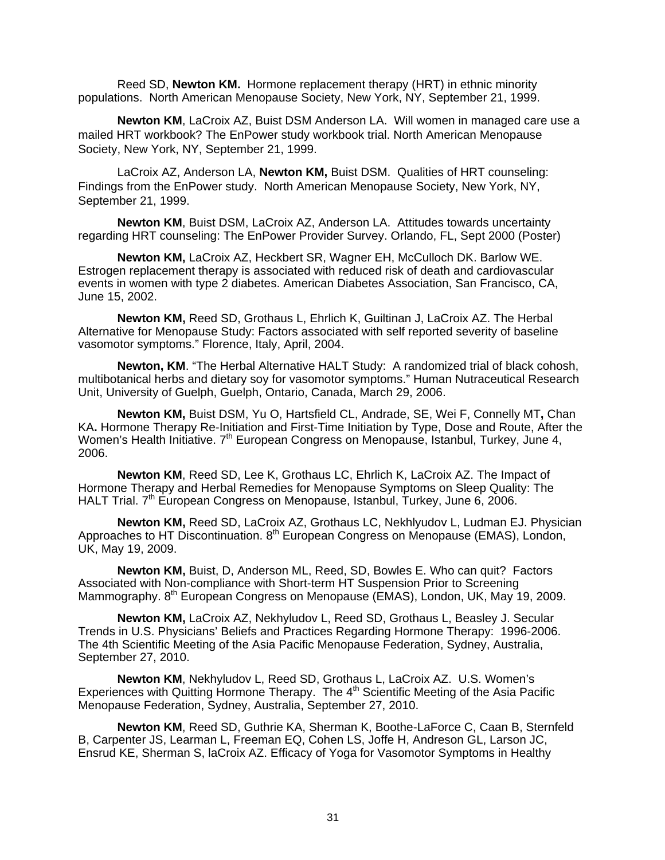Reed SD, **Newton KM.** Hormone replacement therapy (HRT) in ethnic minority populations. North American Menopause Society, New York, NY, September 21, 1999.

**Newton KM**, LaCroix AZ, Buist DSM Anderson LA. Will women in managed care use a mailed HRT workbook? The EnPower study workbook trial. North American Menopause Society, New York, NY, September 21, 1999.

LaCroix AZ, Anderson LA, **Newton KM,** Buist DSM. Qualities of HRT counseling: Findings from the EnPower study. North American Menopause Society, New York, NY, September 21, 1999.

**Newton KM**, Buist DSM, LaCroix AZ, Anderson LA. Attitudes towards uncertainty regarding HRT counseling: The EnPower Provider Survey. Orlando, FL, Sept 2000 (Poster)

**Newton KM,** LaCroix AZ, Heckbert SR, Wagner EH, McCulloch DK. Barlow WE. Estrogen replacement therapy is associated with reduced risk of death and cardiovascular events in women with type 2 diabetes. American Diabetes Association, San Francisco, CA, June 15, 2002.

**Newton KM,** Reed SD, Grothaus L, Ehrlich K, Guiltinan J, LaCroix AZ. The Herbal Alternative for Menopause Study: Factors associated with self reported severity of baseline vasomotor symptoms." Florence, Italy, April, 2004.

**Newton, KM**. "The Herbal Alternative HALT Study: A randomized trial of black cohosh, multibotanical herbs and dietary soy for vasomotor symptoms." Human Nutraceutical Research Unit, University of Guelph, Guelph, Ontario, Canada, March 29, 2006.

**Newton KM,** Buist DSM, Yu O, Hartsfield CL, Andrade, SE, Wei F, Connelly MT**,** Chan KA**.** Hormone Therapy Re-Initiation and First-Time Initiation by Type, Dose and Route, After the Women's Health Initiative. 7<sup>th</sup> European Congress on Menopause, Istanbul, Turkey, June 4, 2006.

**Newton KM**, Reed SD, Lee K, Grothaus LC, Ehrlich K, LaCroix AZ. The Impact of Hormone Therapy and Herbal Remedies for Menopause Symptoms on Sleep Quality: The HALT Trial. 7<sup>th</sup> European Congress on Menopause, Istanbul, Turkey, June 6, 2006.

**Newton KM,** Reed SD, LaCroix AZ, Grothaus LC, Nekhlyudov L, Ludman EJ. Physician Approaches to HT Discontinuation. 8<sup>th</sup> European Congress on Menopause (EMAS), London, UK, May 19, 2009.

**Newton KM,** Buist, D, Anderson ML, Reed, SD, Bowles E. Who can quit? Factors Associated with Non-compliance with Short-term HT Suspension Prior to Screening Mammography. 8<sup>th</sup> European Congress on Menopause (EMAS), London, UK, May 19, 2009.

**Newton KM,** LaCroix AZ, Nekhyludov L, Reed SD, Grothaus L, Beasley J. Secular Trends in U.S. Physicians' Beliefs and Practices Regarding Hormone Therapy: 1996-2006. The 4th Scientific Meeting of the Asia Pacific Menopause Federation, Sydney, Australia, September 27, 2010.

**Newton KM**, Nekhyludov L, Reed SD, Grothaus L, LaCroix AZ. U.S. Women's Experiences with Quitting Hormone Therapy. The  $4<sup>th</sup>$  Scientific Meeting of the Asia Pacific Menopause Federation, Sydney, Australia, September 27, 2010.

**Newton KM**, Reed SD, Guthrie KA, Sherman K, Boothe-LaForce C, Caan B, Sternfeld B, Carpenter JS, Learman L, Freeman EQ, Cohen LS, Joffe H, Andreson GL, Larson JC, Ensrud KE, Sherman S, laCroix AZ. Efficacy of Yoga for Vasomotor Symptoms in Healthy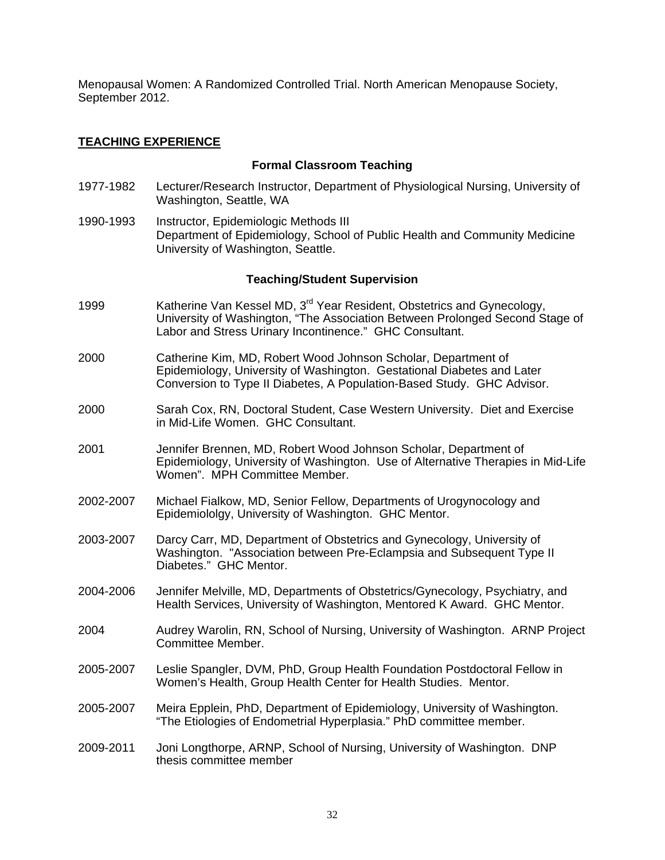Menopausal Women: A Randomized Controlled Trial. North American Menopause Society, September 2012.

# **TEACHING EXPERIENCE**

# **Formal Classroom Teaching**

- 1977-1982 Lecturer/Research Instructor, Department of Physiological Nursing, University of Washington, Seattle, WA
- 1990-1993 Instructor, Epidemiologic Methods III Department of Epidemiology, School of Public Health and Community Medicine University of Washington, Seattle.

#### **Teaching/Student Supervision**

- 1999 Katherine Van Kessel MD, 3<sup>rd</sup> Year Resident, Obstetrics and Gynecology, University of Washington, "The Association Between Prolonged Second Stage of Labor and Stress Urinary Incontinence." GHC Consultant.
- 2000 Catherine Kim, MD, Robert Wood Johnson Scholar, Department of Epidemiology, University of Washington. Gestational Diabetes and Later Conversion to Type II Diabetes, A Population-Based Study. GHC Advisor.
- 2000 Sarah Cox, RN, Doctoral Student, Case Western University. Diet and Exercise in Mid-Life Women. GHC Consultant.
- 2001 Jennifer Brennen, MD, Robert Wood Johnson Scholar, Department of Epidemiology, University of Washington. Use of Alternative Therapies in Mid-Life Women". MPH Committee Member.
- 2002-2007 Michael Fialkow, MD, Senior Fellow, Departments of Urogynocology and Epidemiololgy, University of Washington. GHC Mentor.
- 2003-2007 Darcy Carr, MD, Department of Obstetrics and Gynecology, University of Washington. "Association between Pre-Eclampsia and Subsequent Type II Diabetes." GHC Mentor.
- 2004-2006 Jennifer Melville, MD, Departments of Obstetrics/Gynecology, Psychiatry, and Health Services, University of Washington, Mentored K Award. GHC Mentor.
- 2004 Audrey Warolin, RN, School of Nursing, University of Washington. ARNP Project Committee Member.
- 2005-2007 Leslie Spangler, DVM, PhD, Group Health Foundation Postdoctoral Fellow in Women's Health, Group Health Center for Health Studies. Mentor.
- 2005-2007 Meira Epplein, PhD, Department of Epidemiology, University of Washington. "The Etiologies of Endometrial Hyperplasia." PhD committee member.
- 2009-2011 Joni Longthorpe, ARNP, School of Nursing, University of Washington. DNP thesis committee member